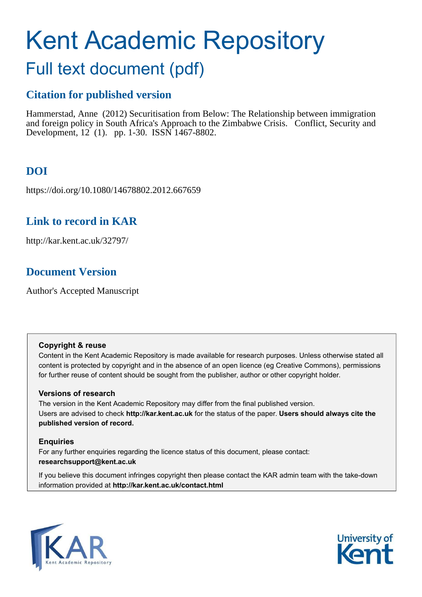# Kent Academic Repository

# Full text document (pdf)

### **Citation for published version**

Hammerstad, Anne (2012) Securitisation from Below: The Relationship between immigration and foreign policy in South Africa's Approach to the Zimbabwe Crisis. Conflict, Security and Development, 12 (1). pp. 1-30. ISSN 1467-8802.

# **DOI**

https://doi.org/10.1080/14678802.2012.667659

### **Link to record in KAR**

http://kar.kent.ac.uk/32797/

## **Document Version**

Author's Accepted Manuscript

#### **Copyright & reuse**

Content in the Kent Academic Repository is made available for research purposes. Unless otherwise stated all content is protected by copyright and in the absence of an open licence (eg Creative Commons), permissions for further reuse of content should be sought from the publisher, author or other copyright holder.

#### **Versions of research**

The version in the Kent Academic Repository may differ from the final published version. Users are advised to check **http://kar.kent.ac.uk** for the status of the paper. **Users should always cite the published version of record.**

#### **Enquiries**

For any further enquiries regarding the licence status of this document, please contact: **researchsupport@kent.ac.uk**

If you believe this document infringes copyright then please contact the KAR admin team with the take-down information provided at **http://kar.kent.ac.uk/contact.html**



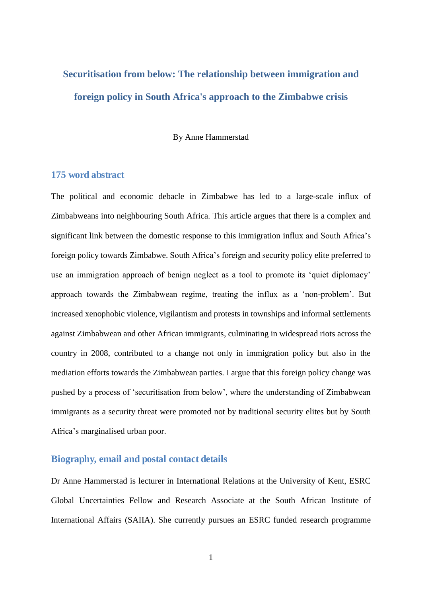# **Securitisation from below: The relationship between immigration and foreign policy in South Africa's approach to the Zimbabwe crisis**

By Anne Hammerstad

#### **175 word abstract**

The political and economic debacle in Zimbabwe has led to a large-scale influx of Zimbabweans into neighbouring South Africa. This article argues that there is a complex and significant link between the domestic response to this immigration influx and South Africa's foreign policy towards Zimbabwe. South Africa's foreign and security policy elite preferred to use an immigration approach of benign neglect as a tool to promote its 'quiet diplomacy' approach towards the Zimbabwean regime, treating the influx as a 'non-problem'. But increased xenophobic violence, vigilantism and protests in townships and informal settlements against Zimbabwean and other African immigrants, culminating in widespread riots across the country in 2008, contributed to a change not only in immigration policy but also in the mediation efforts towards the Zimbabwean parties. I argue that this foreign policy change was pushed by a process of 'securitisation from below', where the understanding of Zimbabwean immigrants as a security threat were promoted not by traditional security elites but by South Africa's marginalised urban poor.

#### **Biography, email and postal contact details**

Dr Anne Hammerstad is lecturer in International Relations at the University of Kent, ESRC Global Uncertainties Fellow and Research Associate at the South African Institute of International Affairs (SAIIA). She currently pursues an ESRC funded research programme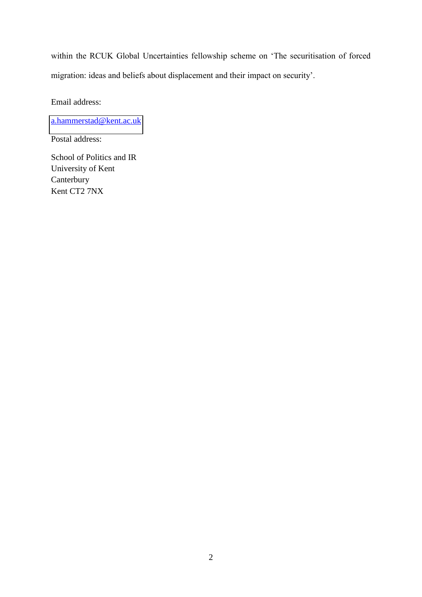within the RCUK Global Uncertainties fellowship scheme on 'The securitisation of forced migration: ideas and beliefs about displacement and their impact on security'.

Email address:

[a.hammerstad@kent.ac.uk](mailto:a.hammerstad@kent.ac.uk)

Postal address:

School of Politics and IR University of Kent Canterbury Kent CT2 7NX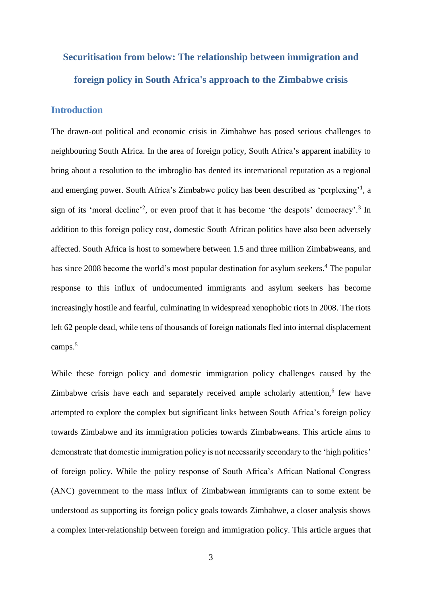# **Securitisation from below: The relationship between immigration and foreign policy in South Africa's approach to the Zimbabwe crisis**

#### **Introduction**

The drawn-out political and economic crisis in Zimbabwe has posed serious challenges to neighbouring South Africa. In the area of foreign policy, South Africa's apparent inability to bring about a resolution to the imbroglio has dented its international reputation as a regional and emerging power. South Africa's Zimbabwe policy has been described as 'perplexing'<sup>1</sup> , a sign of its 'moral decline'<sup>2</sup>, or even proof that it has become 'the despots' democracy'.<sup>3</sup> In addition to this foreign policy cost, domestic South African politics have also been adversely affected. South Africa is host to somewhere between 1.5 and three million Zimbabweans, and has since 2008 become the world's most popular destination for asylum seekers.<sup>4</sup> The popular response to this influx of undocumented immigrants and asylum seekers has become increasingly hostile and fearful, culminating in widespread xenophobic riots in 2008. The riots left 62 people dead, while tens of thousands of foreign nationals fled into internal displacement camps.<sup>5</sup>

While these foreign policy and domestic immigration policy challenges caused by the Zimbabwe crisis have each and separately received ample scholarly attention,<sup>6</sup> few have attempted to explore the complex but significant links between South Africa's foreign policy towards Zimbabwe and its immigration policies towards Zimbabweans. This article aims to demonstrate that domestic immigration policy is not necessarily secondary to the 'high politics' of foreign policy. While the policy response of South Africa's African National Congress (ANC) government to the mass influx of Zimbabwean immigrants can to some extent be understood as supporting its foreign policy goals towards Zimbabwe, a closer analysis shows a complex inter-relationship between foreign and immigration policy. This article argues that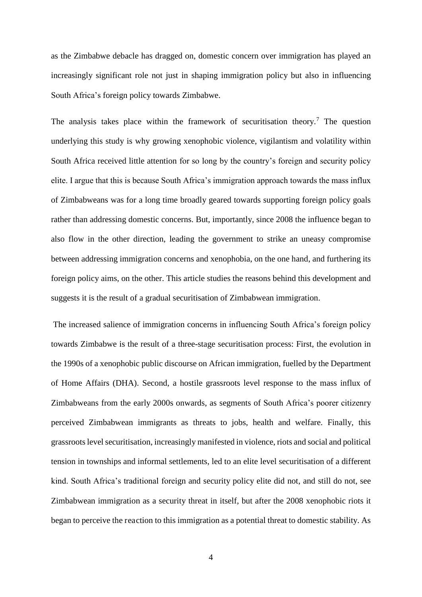as the Zimbabwe debacle has dragged on, domestic concern over immigration has played an increasingly significant role not just in shaping immigration policy but also in influencing South Africa's foreign policy towards Zimbabwe.

The analysis takes place within the framework of securitisation theory.<sup>7</sup> The question underlying this study is why growing xenophobic violence, vigilantism and volatility within South Africa received little attention for so long by the country's foreign and security policy elite. I argue that this is because South Africa's immigration approach towards the mass influx of Zimbabweans was for a long time broadly geared towards supporting foreign policy goals rather than addressing domestic concerns. But, importantly, since 2008 the influence began to also flow in the other direction, leading the government to strike an uneasy compromise between addressing immigration concerns and xenophobia, on the one hand, and furthering its foreign policy aims, on the other. This article studies the reasons behind this development and suggests it is the result of a gradual securitisation of Zimbabwean immigration.

 The increased salience of immigration concerns in influencing South Africa's foreign policy towards Zimbabwe is the result of a three-stage securitisation process: First, the evolution in the 1990s of a xenophobic public discourse on African immigration, fuelled by the Department of Home Affairs (DHA). Second, a hostile grassroots level response to the mass influx of Zimbabweans from the early 2000s onwards, as segments of South Africa's poorer citizenry perceived Zimbabwean immigrants as threats to jobs, health and welfare. Finally, this grassroots level securitisation, increasingly manifested in violence, riots and social and political tension in townships and informal settlements, led to an elite level securitisation of a different kind. South Africa's traditional foreign and security policy elite did not, and still do not, see Zimbabwean immigration as a security threat in itself, but after the 2008 xenophobic riots it began to perceive the reaction to this immigration as a potential threat to domestic stability. As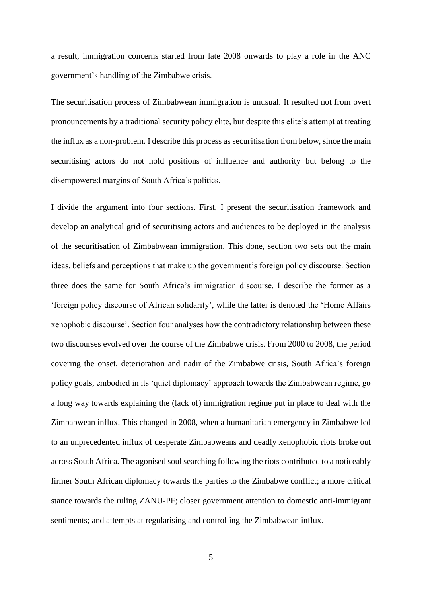a result, immigration concerns started from late 2008 onwards to play a role in the ANC government's handling of the Zimbabwe crisis.

The securitisation process of Zimbabwean immigration is unusual. It resulted not from overt pronouncements by a traditional security policy elite, but despite this elite's attempt at treating the influx as a non-problem. I describe this process as securitisation from below, since the main securitising actors do not hold positions of influence and authority but belong to the disempowered margins of South Africa's politics.

I divide the argument into four sections. First, I present the securitisation framework and develop an analytical grid of securitising actors and audiences to be deployed in the analysis of the securitisation of Zimbabwean immigration. This done, section two sets out the main ideas, beliefs and perceptions that make up the government's foreign policy discourse. Section three does the same for South Africa's immigration discourse. I describe the former as a 'foreign policy discourse of African solidarity', while the latter is denoted the 'Home Affairs xenophobic discourse'. Section four analyses how the contradictory relationship between these two discourses evolved over the course of the Zimbabwe crisis. From 2000 to 2008, the period covering the onset, deterioration and nadir of the Zimbabwe crisis, South Africa's foreign policy goals, embodied in its 'quiet diplomacy' approach towards the Zimbabwean regime, go a long way towards explaining the (lack of) immigration regime put in place to deal with the Zimbabwean influx. This changed in 2008, when a humanitarian emergency in Zimbabwe led to an unprecedented influx of desperate Zimbabweans and deadly xenophobic riots broke out across South Africa. The agonised soul searching following the riots contributed to a noticeably firmer South African diplomacy towards the parties to the Zimbabwe conflict; a more critical stance towards the ruling ZANU-PF; closer government attention to domestic anti-immigrant sentiments; and attempts at regularising and controlling the Zimbabwean influx.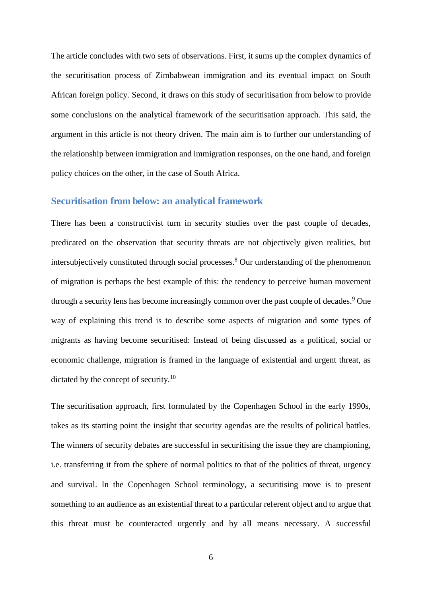The article concludes with two sets of observations. First, it sums up the complex dynamics of the securitisation process of Zimbabwean immigration and its eventual impact on South African foreign policy. Second, it draws on this study of securitisation from below to provide some conclusions on the analytical framework of the securitisation approach. This said, the argument in this article is not theory driven. The main aim is to further our understanding of the relationship between immigration and immigration responses, on the one hand, and foreign policy choices on the other, in the case of South Africa.

#### **Securitisation from below: an analytical framework**

There has been a constructivist turn in security studies over the past couple of decades, predicated on the observation that security threats are not objectively given realities, but intersubjectively constituted through social processes.<sup>8</sup> Our understanding of the phenomenon of migration is perhaps the best example of this: the tendency to perceive human movement through a security lens has become increasingly common over the past couple of decades.<sup>9</sup> One way of explaining this trend is to describe some aspects of migration and some types of migrants as having become securitised: Instead of being discussed as a political, social or economic challenge, migration is framed in the language of existential and urgent threat, as dictated by the concept of security.<sup>10</sup>

The securitisation approach, first formulated by the Copenhagen School in the early 1990s, takes as its starting point the insight that security agendas are the results of political battles. The winners of security debates are successful in securitising the issue they are championing, i.e. transferring it from the sphere of normal politics to that of the politics of threat, urgency and survival. In the Copenhagen School terminology, a securitising move is to present something to an audience as an existential threat to a particular referent object and to argue that this threat must be counteracted urgently and by all means necessary. A successful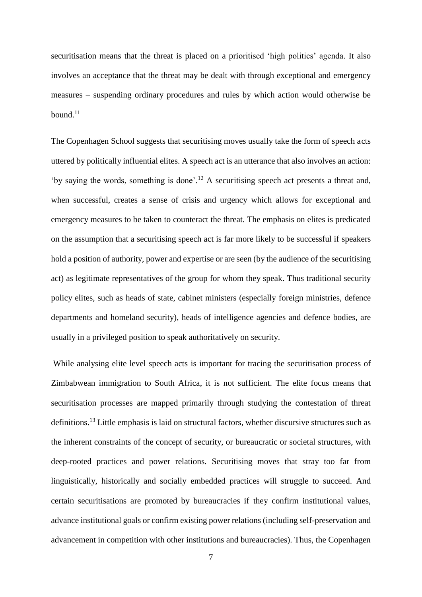securitisation means that the threat is placed on a prioritised 'high politics' agenda. It also involves an acceptance that the threat may be dealt with through exceptional and emergency measures – suspending ordinary procedures and rules by which action would otherwise be bound. $11$ 

The Copenhagen School suggests that securitising moves usually take the form of speech acts uttered by politically influential elites. A speech act is an utterance that also involves an action: 'by saying the words, something is done'. <sup>12</sup> A securitising speech act presents a threat and, when successful, creates a sense of crisis and urgency which allows for exceptional and emergency measures to be taken to counteract the threat. The emphasis on elites is predicated on the assumption that a securitising speech act is far more likely to be successful if speakers hold a position of authority, power and expertise or are seen (by the audience of the securitising act) as legitimate representatives of the group for whom they speak. Thus traditional security policy elites, such as heads of state, cabinet ministers (especially foreign ministries, defence departments and homeland security), heads of intelligence agencies and defence bodies, are usually in a privileged position to speak authoritatively on security.

While analysing elite level speech acts is important for tracing the securitisation process of Zimbabwean immigration to South Africa, it is not sufficient. The elite focus means that securitisation processes are mapped primarily through studying the contestation of threat definitions.<sup>13</sup> Little emphasis is laid on structural factors, whether discursive structures such as the inherent constraints of the concept of security, or bureaucratic or societal structures, with deep-rooted practices and power relations. Securitising moves that stray too far from linguistically, historically and socially embedded practices will struggle to succeed. And certain securitisations are promoted by bureaucracies if they confirm institutional values, advance institutional goals or confirm existing power relations (including self-preservation and advancement in competition with other institutions and bureaucracies). Thus, the Copenhagen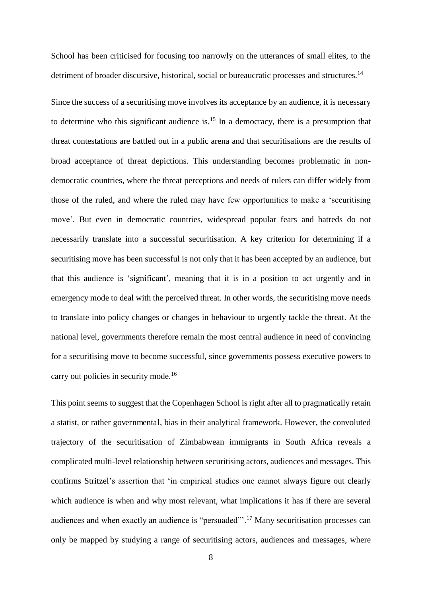School has been criticised for focusing too narrowly on the utterances of small elites, to the detriment of broader discursive, historical, social or bureaucratic processes and structures.<sup>14</sup>

Since the success of a securitising move involves its acceptance by an audience, it is necessary to determine who this significant audience is.<sup>15</sup> In a democracy, there is a presumption that threat contestations are battled out in a public arena and that securitisations are the results of broad acceptance of threat depictions. This understanding becomes problematic in nondemocratic countries, where the threat perceptions and needs of rulers can differ widely from those of the ruled, and where the ruled may have few opportunities to make a 'securitising move'. But even in democratic countries, widespread popular fears and hatreds do not necessarily translate into a successful securitisation. A key criterion for determining if a securitising move has been successful is not only that it has been accepted by an audience, but that this audience is 'significant', meaning that it is in a position to act urgently and in emergency mode to deal with the perceived threat. In other words, the securitising move needs to translate into policy changes or changes in behaviour to urgently tackle the threat. At the national level, governments therefore remain the most central audience in need of convincing for a securitising move to become successful, since governments possess executive powers to carry out policies in security mode.<sup>16</sup>

This point seems to suggest that the Copenhagen School is right after all to pragmatically retain a statist, or rather governmental, bias in their analytical framework. However, the convoluted trajectory of the securitisation of Zimbabwean immigrants in South Africa reveals a complicated multi-level relationship between securitising actors, audiences and messages. This confirms Stritzel's assertion that 'in empirical studies one cannot always figure out clearly which audience is when and why most relevant, what implications it has if there are several audiences and when exactly an audience is "persuaded"'.<sup>17</sup> Many securitisation processes can only be mapped by studying a range of securitising actors, audiences and messages, where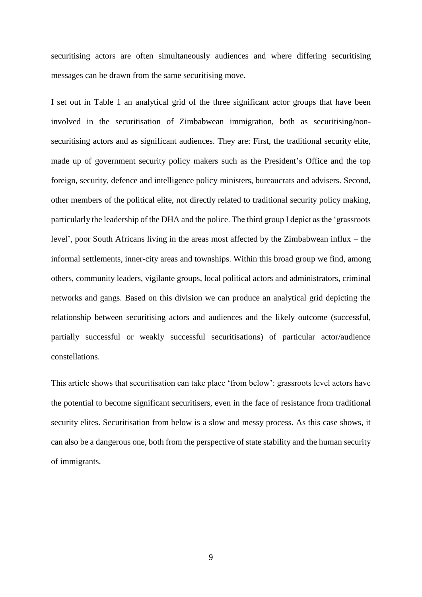securitising actors are often simultaneously audiences and where differing securitising messages can be drawn from the same securitising move.

I set out in Table 1 an analytical grid of the three significant actor groups that have been involved in the securitisation of Zimbabwean immigration, both as securitising/nonsecuritising actors and as significant audiences. They are: First, the traditional security elite, made up of government security policy makers such as the President's Office and the top foreign, security, defence and intelligence policy ministers, bureaucrats and advisers. Second, other members of the political elite, not directly related to traditional security policy making, particularly the leadership of the DHA and the police. The third group I depict as the 'grassroots level', poor South Africans living in the areas most affected by the Zimbabwean influx – the informal settlements, inner-city areas and townships. Within this broad group we find, among others, community leaders, vigilante groups, local political actors and administrators, criminal networks and gangs. Based on this division we can produce an analytical grid depicting the relationship between securitising actors and audiences and the likely outcome (successful, partially successful or weakly successful securitisations) of particular actor/audience constellations.

This article shows that securitisation can take place 'from below': grassroots level actors have the potential to become significant securitisers, even in the face of resistance from traditional security elites. Securitisation from below is a slow and messy process. As this case shows, it can also be a dangerous one, both from the perspective of state stability and the human security of immigrants.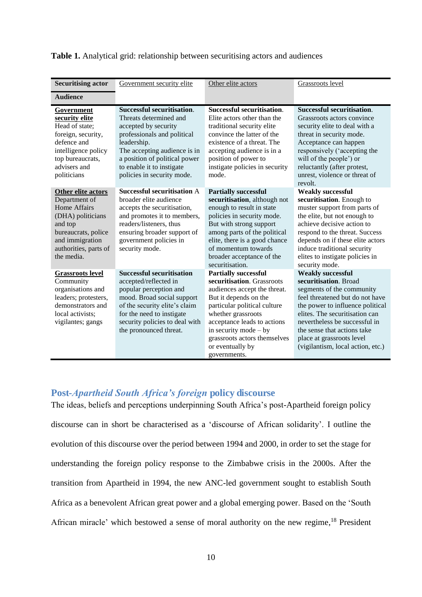| <b>Securitising actor</b>                                                                                                                                                   | Government security elite                                                                                                                                                                                                                                     | Other elite actors                                                                                                                                                                                                                                                                                     | Grassroots level                                                                                                                                                                                                                                                                                                          |
|-----------------------------------------------------------------------------------------------------------------------------------------------------------------------------|---------------------------------------------------------------------------------------------------------------------------------------------------------------------------------------------------------------------------------------------------------------|--------------------------------------------------------------------------------------------------------------------------------------------------------------------------------------------------------------------------------------------------------------------------------------------------------|---------------------------------------------------------------------------------------------------------------------------------------------------------------------------------------------------------------------------------------------------------------------------------------------------------------------------|
| <b>Audience</b>                                                                                                                                                             |                                                                                                                                                                                                                                                               |                                                                                                                                                                                                                                                                                                        |                                                                                                                                                                                                                                                                                                                           |
| Government<br>security elite<br>Head of state;<br>foreign, security,<br>defence and<br>intelligence policy<br>top bureaucrats,<br>advisers and<br>politicians               | <b>Successful securitisation.</b><br>Threats determined and<br>accepted by security<br>professionals and political<br>leadership.<br>The accepting audience is in<br>a position of political power<br>to enable it to instigate<br>policies in security mode. | <b>Successful securitisation.</b><br>Elite actors other than the<br>traditional security elite<br>convince the latter of the<br>existence of a threat. The<br>accepting audience is in a<br>position of power to<br>instigate policies in security<br>mode.                                            | Successful securitisation.<br>Grassroots actors convince<br>security elite to deal with a<br>threat in security mode.<br>Acceptance can happen<br>responsively ('accepting the<br>will of the people') or<br>reluctantly (after protest,<br>unrest, violence or threat of<br>revolt.                                      |
| Other elite actors<br>Department of<br><b>Home Affairs</b><br>(DHA) politicians<br>and top<br>bureaucrats, police<br>and immigration<br>authorities, parts of<br>the media. | <b>Successful securitisation A</b><br>broader elite audience<br>accepts the securitisation,<br>and promotes it to members,<br>readers/listeners, thus<br>ensuring broader support of<br>government policies in<br>security mode.                              | <b>Partially successful</b><br>securitisation, although not<br>enough to result in state<br>policies in security mode.<br>But with strong support<br>among parts of the political<br>elite, there is a good chance<br>of momentum towards<br>broader acceptance of the<br>securitisation.              | <b>Weakly successful</b><br>securitisation. Enough to<br>muster support from parts of<br>the elite, but not enough to<br>achieve decisive action to<br>respond to the threat. Success<br>depends on if these elite actors<br>induce traditional security<br>elites to instigate policies in<br>security mode.             |
| <b>Grassroots level</b><br>Community<br>organisations and<br>leaders; protesters,<br>demonstrators and<br>local activists;<br>vigilantes; gangs                             | <b>Successful securitisation</b><br>accepted/reflected in<br>popular perception and<br>mood. Broad social support<br>of the security elite's claim<br>for the need to instigate<br>security policies to deal with<br>the pronounced threat.                   | <b>Partially successful</b><br>securitisation. Grassroots<br>audiences accept the threat.<br>But it depends on the<br>particular political culture<br>whether grassroots<br>acceptance leads to actions<br>in security mode $-$ by<br>grassroots actors themselves<br>or eventually by<br>governments. | <b>Weakly successful</b><br>securitisation. Broad<br>segments of the community<br>feel threatened but do not have<br>the power to influence political<br>elites. The securitisation can<br>nevertheless be successful in<br>the sense that actions take<br>place at grassroots level<br>(vigilantism, local action, etc.) |

#### **Table 1.** Analytical grid: relationship between securitising actors and audiences

### **Post-***Apartheid South Africa's foreign* **policy discourse**

The ideas, beliefs and perceptions underpinning South Africa's post-Apartheid foreign policy discourse can in short be characterised as a 'discourse of African solidarity'. I outline the evolution of this discourse over the period between 1994 and 2000, in order to set the stage for understanding the foreign policy response to the Zimbabwe crisis in the 2000s. After the transition from Apartheid in 1994, the new ANC-led government sought to establish South Africa as a benevolent African great power and a global emerging power. Based on the 'South African miracle' which bestowed a sense of moral authority on the new regime,<sup>18</sup> President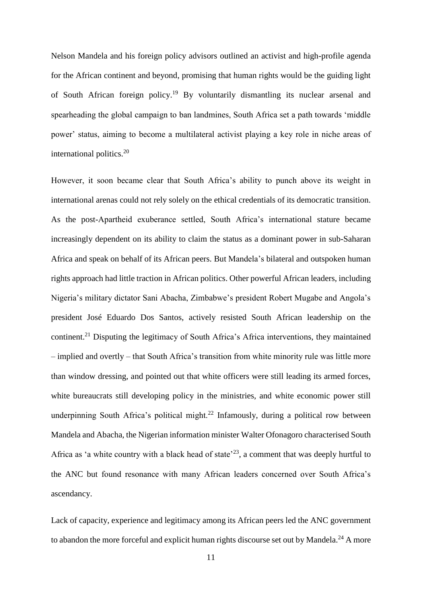Nelson Mandela and his foreign policy advisors outlined an activist and high-profile agenda for the African continent and beyond, promising that human rights would be the guiding light of South African foreign policy.<sup>19</sup> By voluntarily dismantling its nuclear arsenal and spearheading the global campaign to ban landmines, South Africa set a path towards 'middle power' status, aiming to become a multilateral activist playing a key role in niche areas of international politics.<sup>20</sup>

However, it soon became clear that South Africa's ability to punch above its weight in international arenas could not rely solely on the ethical credentials of its democratic transition. As the post-Apartheid exuberance settled, South Africa's international stature became increasingly dependent on its ability to claim the status as a dominant power in sub-Saharan Africa and speak on behalf of its African peers. But Mandela's bilateral and outspoken human rights approach had little traction in African politics. Other powerful African leaders, including Nigeria's military dictator Sani Abacha, Zimbabwe's president Robert Mugabe and Angola's president José Eduardo Dos Santos, actively resisted South African leadership on the continent.<sup>21</sup> Disputing the legitimacy of South Africa's Africa interventions, they maintained – implied and overtly – that South Africa's transition from white minority rule was little more than window dressing, and pointed out that white officers were still leading its armed forces, white bureaucrats still developing policy in the ministries, and white economic power still underpinning South Africa's political might.<sup>22</sup> Infamously, during a political row between Mandela and Abacha, the Nigerian information minister Walter Ofonagoro characterised South Africa as 'a white country with a black head of state<sup> $23$ </sup>, a comment that was deeply hurtful to the ANC but found resonance with many African leaders concerned over South Africa's ascendancy.

Lack of capacity, experience and legitimacy among its African peers led the ANC government to abandon the more forceful and explicit human rights discourse set out by Mandela.<sup>24</sup> A more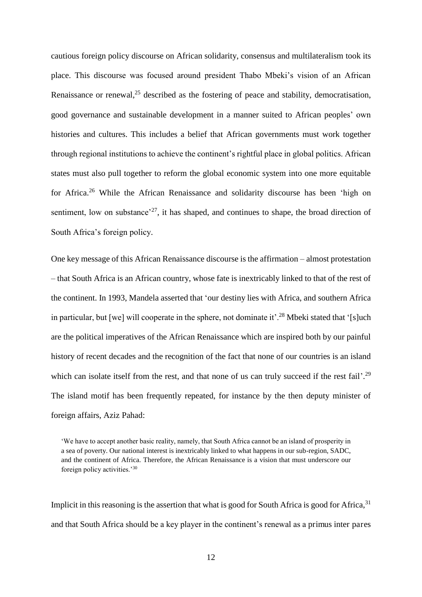cautious foreign policy discourse on African solidarity, consensus and multilateralism took its place. This discourse was focused around president Thabo Mbeki's vision of an African Renaissance or renewal, $^{25}$  described as the fostering of peace and stability, democratisation, good governance and sustainable development in a manner suited to African peoples' own histories and cultures. This includes a belief that African governments must work together through regional institutions to achieve the continent's rightful place in global politics. African states must also pull together to reform the global economic system into one more equitable for Africa.<sup>26</sup> While the African Renaissance and solidarity discourse has been 'high on sentiment, low on substance<sup> $27$ </sup>, it has shaped, and continues to shape, the broad direction of South Africa's foreign policy.

One key message of this African Renaissance discourse is the affirmation – almost protestation – that South Africa is an African country, whose fate is inextricably linked to that of the rest of the continent. In 1993, Mandela asserted that 'our destiny lies with Africa, and southern Africa in particular, but [we] will cooperate in the sphere, not dominate it'.<sup>28</sup> Mbeki stated that '[s]uch are the political imperatives of the African Renaissance which are inspired both by our painful history of recent decades and the recognition of the fact that none of our countries is an island which can isolate itself from the rest, and that none of us can truly succeed if the rest fail'.<sup>29</sup> The island motif has been frequently repeated, for instance by the then deputy minister of foreign affairs, Aziz Pahad:

Implicit in this reasoning is the assertion that what is good for South Africa is good for Africa,  $31$ and that South Africa should be a key player in the continent's renewal as a primus inter pares

<sup>&#</sup>x27;We have to accept another basic reality, namely, that South Africa cannot be an island of prosperity in a sea of poverty. Our national interest is inextricably linked to what happens in our sub-region, SADC, and the continent of Africa. Therefore, the African Renaissance is a vision that must underscore our foreign policy activities.'<sup>30</sup>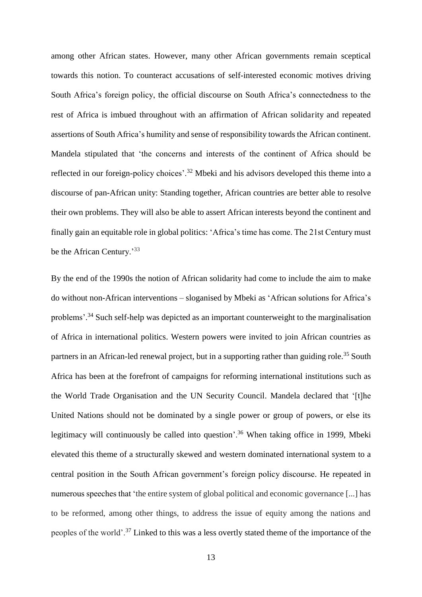among other African states. However, many other African governments remain sceptical towards this notion. To counteract accusations of self-interested economic motives driving South Africa's foreign policy, the official discourse on South Africa's connectedness to the rest of Africa is imbued throughout with an affirmation of African solidarity and repeated assertions of South Africa's humility and sense of responsibility towards the African continent. Mandela stipulated that 'the concerns and interests of the continent of Africa should be reflected in our foreign-policy choices'.<sup>32</sup> Mbeki and his advisors developed this theme into a discourse of pan-African unity: Standing together, African countries are better able to resolve their own problems. They will also be able to assert African interests beyond the continent and finally gain an equitable role in global politics: 'Africa's time has come. The 21st Century must be the African Century.<sup>33</sup>

By the end of the 1990s the notion of African solidarity had come to include the aim to make do without non-African interventions – sloganised by Mbeki as 'African solutions for Africa's problems'.<sup>34</sup> Such self-help was depicted as an important counterweight to the marginalisation of Africa in international politics. Western powers were invited to join African countries as partners in an African-led renewal project, but in a supporting rather than guiding role.<sup>35</sup> South Africa has been at the forefront of campaigns for reforming international institutions such as the World Trade Organisation and the UN Security Council. Mandela declared that '[t]he United Nations should not be dominated by a single power or group of powers, or else its legitimacy will continuously be called into question'.<sup>36</sup> When taking office in 1999, Mbeki elevated this theme of a structurally skewed and western dominated international system to a central position in the South African government's foreign policy discourse. He repeated in numerous speeches that 'the entire system of global political and economic governance [...] has to be reformed, among other things, to address the issue of equity among the nations and peoples of the world'.<sup>37</sup> Linked to this was a less overtly stated theme of the importance of the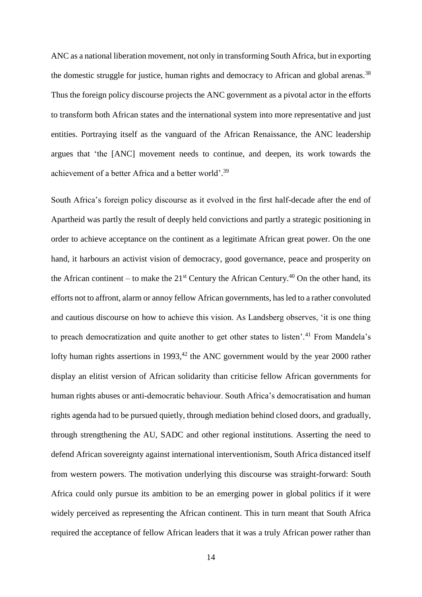ANC as a national liberation movement, not only in transforming South Africa, but in exporting the domestic struggle for justice, human rights and democracy to African and global arenas.<sup>38</sup> Thus the foreign policy discourse projects the ANC government as a pivotal actor in the efforts to transform both African states and the international system into more representative and just entities. Portraying itself as the vanguard of the African Renaissance, the ANC leadership argues that 'the [ANC] movement needs to continue, and deepen, its work towards the achievement of a better Africa and a better world'. 39

South Africa's foreign policy discourse as it evolved in the first half-decade after the end of Apartheid was partly the result of deeply held convictions and partly a strategic positioning in order to achieve acceptance on the continent as a legitimate African great power. On the one hand, it harbours an activist vision of democracy, good governance, peace and prosperity on the African continent – to make the  $21<sup>st</sup>$  Century the African Century.<sup>40</sup> On the other hand, its efforts not to affront, alarm or annoy fellow African governments, has led to a rather convoluted and cautious discourse on how to achieve this vision. As Landsberg observes, 'it is one thing to preach democratization and quite another to get other states to listen'.<sup>41</sup> From Mandela's lofty human rights assertions in 1993,<sup>42</sup> the ANC government would by the year 2000 rather display an elitist version of African solidarity than criticise fellow African governments for human rights abuses or anti-democratic behaviour. South Africa's democratisation and human rights agenda had to be pursued quietly, through mediation behind closed doors, and gradually, through strengthening the AU, SADC and other regional institutions. Asserting the need to defend African sovereignty against international interventionism, South Africa distanced itself from western powers. The motivation underlying this discourse was straight-forward: South Africa could only pursue its ambition to be an emerging power in global politics if it were widely perceived as representing the African continent. This in turn meant that South Africa required the acceptance of fellow African leaders that it was a truly African power rather than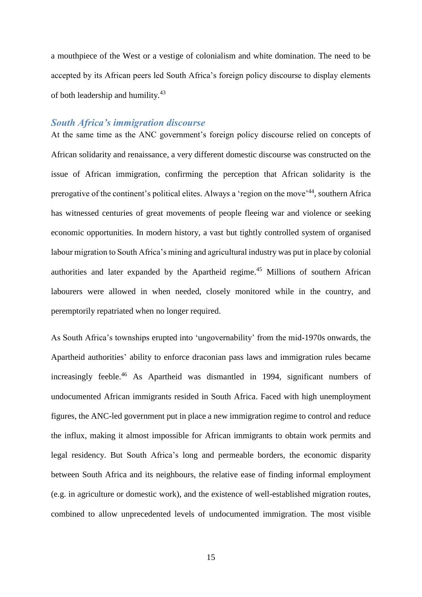a mouthpiece of the West or a vestige of colonialism and white domination. The need to be accepted by its African peers led South Africa's foreign policy discourse to display elements of both leadership and humility.<sup>43</sup>

#### *South Africa's immigration discourse*

At the same time as the ANC government's foreign policy discourse relied on concepts of African solidarity and renaissance, a very different domestic discourse was constructed on the issue of African immigration, confirming the perception that African solidarity is the prerogative of the continent's political elites. Always a 'region on the move'<sup>44</sup>, southern Africa has witnessed centuries of great movements of people fleeing war and violence or seeking economic opportunities. In modern history, a vast but tightly controlled system of organised labour migration to South Africa's mining and agricultural industry was put in place by colonial authorities and later expanded by the Apartheid regime.<sup>45</sup> Millions of southern African labourers were allowed in when needed, closely monitored while in the country, and peremptorily repatriated when no longer required.

As South Africa's townships erupted into 'ungovernability' from the mid-1970s onwards, the Apartheid authorities' ability to enforce draconian pass laws and immigration rules became increasingly feeble.<sup>46</sup> As Apartheid was dismantled in 1994, significant numbers of undocumented African immigrants resided in South Africa. Faced with high unemployment figures, the ANC-led government put in place a new immigration regime to control and reduce the influx, making it almost impossible for African immigrants to obtain work permits and legal residency. But South Africa's long and permeable borders, the economic disparity between South Africa and its neighbours, the relative ease of finding informal employment (e.g. in agriculture or domestic work), and the existence of well-established migration routes, combined to allow unprecedented levels of undocumented immigration. The most visible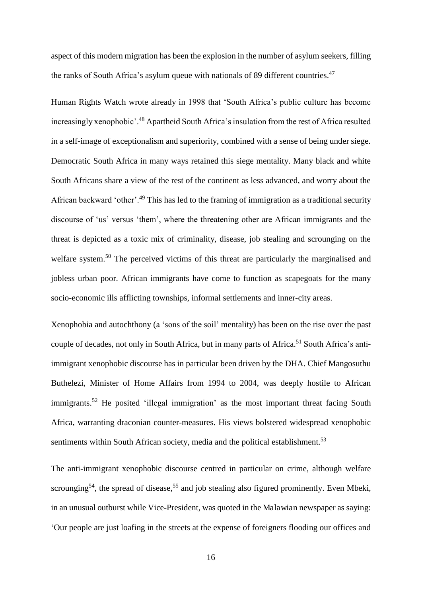aspect of this modern migration has been the explosion in the number of asylum seekers, filling the ranks of South Africa's asylum queue with nationals of 89 different countries.<sup>47</sup>

Human Rights Watch wrote already in 1998 that 'South Africa's public culture has become increasingly xenophobic'.<sup>48</sup> Apartheid South Africa's insulation from the rest of Africa resulted in a self-image of exceptionalism and superiority, combined with a sense of being under siege. Democratic South Africa in many ways retained this siege mentality. Many black and white South Africans share a view of the rest of the continent as less advanced, and worry about the African backward 'other'.<sup>49</sup> This has led to the framing of immigration as a traditional security discourse of 'us' versus 'them', where the threatening other are African immigrants and the threat is depicted as a toxic mix of criminality, disease, job stealing and scrounging on the welfare system.<sup>50</sup> The perceived victims of this threat are particularly the marginalised and jobless urban poor. African immigrants have come to function as scapegoats for the many socio-economic ills afflicting townships, informal settlements and inner-city areas.

Xenophobia and autochthony (a 'sons of the soil' mentality) has been on the rise over the past couple of decades, not only in South Africa, but in many parts of Africa.<sup>51</sup> South Africa's antiimmigrant xenophobic discourse has in particular been driven by the DHA. Chief Mangosuthu Buthelezi, Minister of Home Affairs from 1994 to 2004, was deeply hostile to African immigrants.<sup>52</sup> He posited 'illegal immigration' as the most important threat facing South Africa, warranting draconian counter-measures. His views bolstered widespread xenophobic sentiments within South African society, media and the political establishment.<sup>53</sup>

The anti-immigrant xenophobic discourse centred in particular on crime, although welfare scrounging<sup>54</sup>, the spread of disease,<sup>55</sup> and job stealing also figured prominently. Even Mbeki, in an unusual outburst while Vice-President, was quoted in the Malawian newspaper as saying: 'Our people are just loafing in the streets at the expense of foreigners flooding our offices and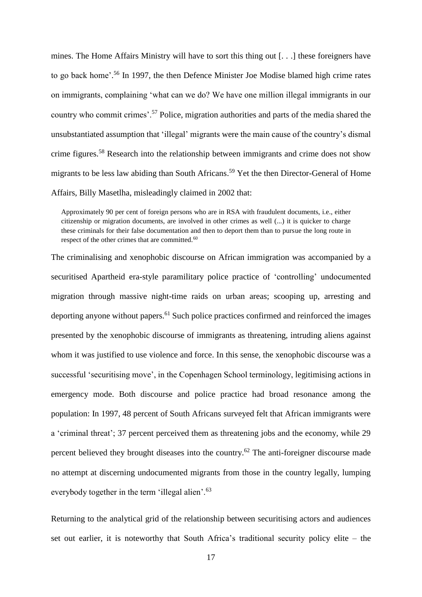mines. The Home Affairs Ministry will have to sort this thing out [. . .] these foreigners have to go back home'. <sup>56</sup> In 1997, the then Defence Minister Joe Modise blamed high crime rates on immigrants, complaining 'what can we do? We have one million illegal immigrants in our country who commit crimes'.<sup>57</sup> Police, migration authorities and parts of the media shared the unsubstantiated assumption that 'illegal' migrants were the main cause of the country's dismal crime figures.<sup>58</sup> Research into the relationship between immigrants and crime does not show migrants to be less law abiding than South Africans.<sup>59</sup> Yet the then Director-General of Home Affairs, Billy Masetlha, misleadingly claimed in 2002 that:

Approximately 90 per cent of foreign persons who are in RSA with fraudulent documents, i.e., either citizenship or migration documents, are involved in other crimes as well (...) it is quicker to charge these criminals for their false documentation and then to deport them than to pursue the long route in respect of the other crimes that are committed.<sup>60</sup>

The criminalising and xenophobic discourse on African immigration was accompanied by a securitised Apartheid era-style paramilitary police practice of 'controlling' undocumented migration through massive night-time raids on urban areas; scooping up, arresting and deporting anyone without papers.<sup>61</sup> Such police practices confirmed and reinforced the images presented by the xenophobic discourse of immigrants as threatening, intruding aliens against whom it was justified to use violence and force. In this sense, the xenophobic discourse was a successful 'securitising move', in the Copenhagen School terminology, legitimising actions in emergency mode. Both discourse and police practice had broad resonance among the population: In 1997, 48 percent of South Africans surveyed felt that African immigrants were a 'criminal threat'; 37 percent perceived them as threatening jobs and the economy, while 29 percent believed they brought diseases into the country.<sup>62</sup> The anti-foreigner discourse made no attempt at discerning undocumented migrants from those in the country legally, lumping everybody together in the term 'illegal alien'.<sup>63</sup>

Returning to the analytical grid of the relationship between securitising actors and audiences set out earlier, it is noteworthy that South Africa's traditional security policy elite – the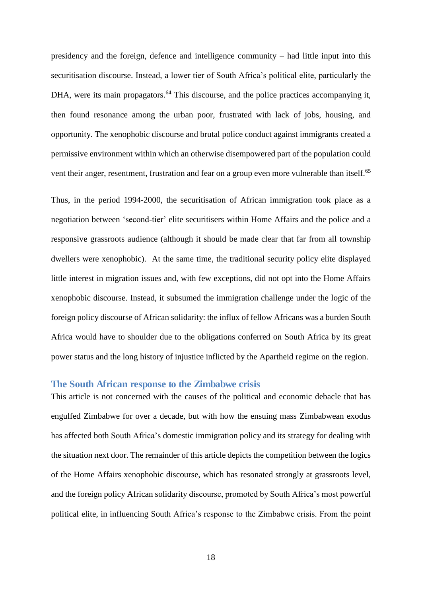presidency and the foreign, defence and intelligence community – had little input into this securitisation discourse. Instead, a lower tier of South Africa's political elite, particularly the DHA, were its main propagators.<sup>64</sup> This discourse, and the police practices accompanying it, then found resonance among the urban poor, frustrated with lack of jobs, housing, and opportunity. The xenophobic discourse and brutal police conduct against immigrants created a permissive environment within which an otherwise disempowered part of the population could vent their anger, resentment, frustration and fear on a group even more vulnerable than itself.<sup>65</sup>

Thus, in the period 1994-2000, the securitisation of African immigration took place as a negotiation between 'second-tier' elite securitisers within Home Affairs and the police and a responsive grassroots audience (although it should be made clear that far from all township dwellers were xenophobic). At the same time, the traditional security policy elite displayed little interest in migration issues and, with few exceptions, did not opt into the Home Affairs xenophobic discourse. Instead, it subsumed the immigration challenge under the logic of the foreign policy discourse of African solidarity: the influx of fellow Africans was a burden South Africa would have to shoulder due to the obligations conferred on South Africa by its great power status and the long history of injustice inflicted by the Apartheid regime on the region.

#### **The South African response to the Zimbabwe crisis**

This article is not concerned with the causes of the political and economic debacle that has engulfed Zimbabwe for over a decade, but with how the ensuing mass Zimbabwean exodus has affected both South Africa's domestic immigration policy and its strategy for dealing with the situation next door. The remainder of this article depicts the competition between the logics of the Home Affairs xenophobic discourse, which has resonated strongly at grassroots level, and the foreign policy African solidarity discourse, promoted by South Africa's most powerful political elite, in influencing South Africa's response to the Zimbabwe crisis. From the point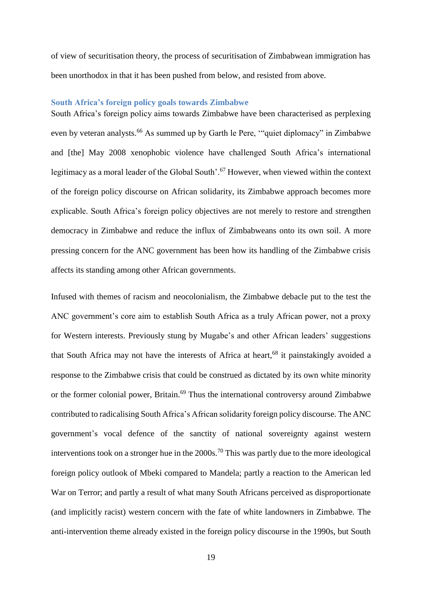of view of securitisation theory, the process of securitisation of Zimbabwean immigration has been unorthodox in that it has been pushed from below, and resisted from above.

#### **South Africa's foreign policy goals towards Zimbabwe**

South Africa's foreign policy aims towards Zimbabwe have been characterised as perplexing even by veteran analysts.<sup>66</sup> As summed up by Garth le Pere, ""quiet diplomacy" in Zimbabwe and [the] May 2008 xenophobic violence have challenged South Africa's international legitimacy as a moral leader of the Global South'.<sup>67</sup> However, when viewed within the context of the foreign policy discourse on African solidarity, its Zimbabwe approach becomes more explicable. South Africa's foreign policy objectives are not merely to restore and strengthen democracy in Zimbabwe and reduce the influx of Zimbabweans onto its own soil. A more pressing concern for the ANC government has been how its handling of the Zimbabwe crisis affects its standing among other African governments.

Infused with themes of racism and neocolonialism, the Zimbabwe debacle put to the test the ANC government's core aim to establish South Africa as a truly African power, not a proxy for Western interests. Previously stung by Mugabe's and other African leaders' suggestions that South Africa may not have the interests of Africa at heart,<sup>68</sup> it painstakingly avoided a response to the Zimbabwe crisis that could be construed as dictated by its own white minority or the former colonial power, Britain.<sup>69</sup> Thus the international controversy around Zimbabwe contributed to radicalising South Africa's African solidarity foreign policy discourse. The ANC government's vocal defence of the sanctity of national sovereignty against western interventions took on a stronger hue in the  $2000s$ .<sup>70</sup> This was partly due to the more ideological foreign policy outlook of Mbeki compared to Mandela; partly a reaction to the American led War on Terror; and partly a result of what many South Africans perceived as disproportionate (and implicitly racist) western concern with the fate of white landowners in Zimbabwe. The anti-intervention theme already existed in the foreign policy discourse in the 1990s, but South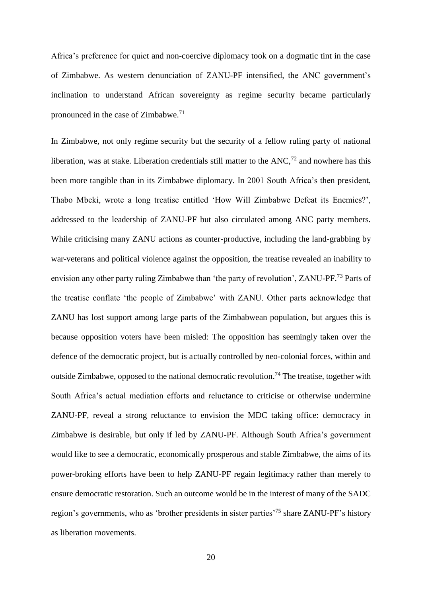Africa's preference for quiet and non-coercive diplomacy took on a dogmatic tint in the case of Zimbabwe. As western denunciation of ZANU-PF intensified, the ANC government's inclination to understand African sovereignty as regime security became particularly pronounced in the case of Zimbabwe.<sup>71</sup>

In Zimbabwe, not only regime security but the security of a fellow ruling party of national liberation, was at stake. Liberation credentials still matter to the  $ANC<sup>72</sup>$  and nowhere has this been more tangible than in its Zimbabwe diplomacy. In 2001 South Africa's then president, Thabo Mbeki, wrote a long treatise entitled 'How Will Zimbabwe Defeat its Enemies?', addressed to the leadership of ZANU-PF but also circulated among ANC party members. While criticising many ZANU actions as counter-productive, including the land-grabbing by war-veterans and political violence against the opposition, the treatise revealed an inability to envision any other party ruling Zimbabwe than 'the party of revolution', ZANU-PF.<sup>73</sup> Parts of the treatise conflate 'the people of Zimbabwe' with ZANU. Other parts acknowledge that ZANU has lost support among large parts of the Zimbabwean population, but argues this is because opposition voters have been misled: The opposition has seemingly taken over the defence of the democratic project, but is actually controlled by neo-colonial forces, within and outside Zimbabwe, opposed to the national democratic revolution.<sup>74</sup> The treatise, together with South Africa's actual mediation efforts and reluctance to criticise or otherwise undermine ZANU-PF, reveal a strong reluctance to envision the MDC taking office: democracy in Zimbabwe is desirable, but only if led by ZANU-PF. Although South Africa's government would like to see a democratic, economically prosperous and stable Zimbabwe, the aims of its power-broking efforts have been to help ZANU-PF regain legitimacy rather than merely to ensure democratic restoration. Such an outcome would be in the interest of many of the SADC region's governments, who as 'brother presidents in sister parties'<sup>75</sup> share ZANU-PF's history as liberation movements.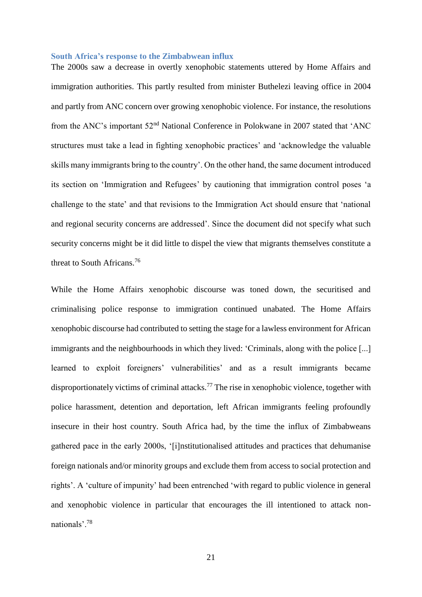#### **South Africa's response to the Zimbabwean influx**

The 2000s saw a decrease in overtly xenophobic statements uttered by Home Affairs and immigration authorities. This partly resulted from minister Buthelezi leaving office in 2004 and partly from ANC concern over growing xenophobic violence. For instance, the resolutions from the ANC's important 52nd National Conference in Polokwane in 2007 stated that 'ANC structures must take a lead in fighting xenophobic practices' and 'acknowledge the valuable skills many immigrants bring to the country'. On the other hand, the same document introduced its section on 'Immigration and Refugees' by cautioning that immigration control poses 'a challenge to the state' and that revisions to the Immigration Act should ensure that 'national and regional security concerns are addressed'. Since the document did not specify what such security concerns might be it did little to dispel the view that migrants themselves constitute a threat to South Africans.<sup>76</sup>

While the Home Affairs xenophobic discourse was toned down, the securitised and criminalising police response to immigration continued unabated. The Home Affairs xenophobic discourse had contributed to setting the stage for a lawless environment for African immigrants and the neighbourhoods in which they lived: 'Criminals, along with the police [...] learned to exploit foreigners' vulnerabilities' and as a result immigrants became disproportionately victims of criminal attacks.<sup>77</sup> The rise in xenophobic violence, together with police harassment, detention and deportation, left African immigrants feeling profoundly insecure in their host country. South Africa had, by the time the influx of Zimbabweans gathered pace in the early 2000s, '[i]nstitutionalised attitudes and practices that dehumanise foreign nationals and/or minority groups and exclude them from access to social protection and rights'. A 'culture of impunity' had been entrenched 'with regard to public violence in general and xenophobic violence in particular that encourages the ill intentioned to attack nonnationals'.<sup>78</sup>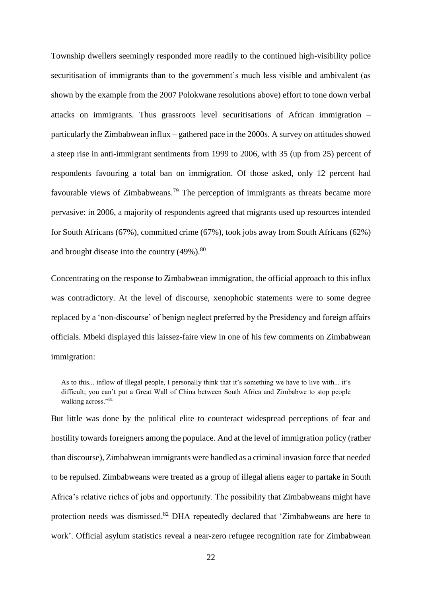Township dwellers seemingly responded more readily to the continued high-visibility police securitisation of immigrants than to the government's much less visible and ambivalent (as shown by the example from the 2007 Polokwane resolutions above) effort to tone down verbal attacks on immigrants. Thus grassroots level securitisations of African immigration – particularly the Zimbabwean influx – gathered pace in the 2000s. A survey on attitudes showed a steep rise in anti-immigrant sentiments from 1999 to 2006, with 35 (up from 25) percent of respondents favouring a total ban on immigration. Of those asked, only 12 percent had favourable views of Zimbabweans.<sup>79</sup> The perception of immigrants as threats became more pervasive: in 2006, a majority of respondents agreed that migrants used up resources intended for South Africans (67%), committed crime (67%), took jobs away from South Africans (62%) and brought disease into the country  $(49\%)$ .<sup>80</sup>

Concentrating on the response to Zimbabwean immigration, the official approach to this influx was contradictory. At the level of discourse, xenophobic statements were to some degree replaced by a 'non-discourse' of benign neglect preferred by the Presidency and foreign affairs officials. Mbeki displayed this laissez-faire view in one of his few comments on Zimbabwean immigration:

As to this... inflow of illegal people, I personally think that it's something we have to live with... it's difficult; you can't put a Great Wall of China between South Africa and Zimbabwe to stop people walking across."<sup>81</sup>

But little was done by the political elite to counteract widespread perceptions of fear and hostility towards foreigners among the populace. And at the level of immigration policy (rather than discourse), Zimbabwean immigrants were handled as a criminal invasion force that needed to be repulsed. Zimbabweans were treated as a group of illegal aliens eager to partake in South Africa's relative riches of jobs and opportunity. The possibility that Zimbabweans might have protection needs was dismissed.<sup>82</sup> DHA repeatedly declared that 'Zimbabweans are here to work'. Official asylum statistics reveal a near-zero refugee recognition rate for Zimbabwean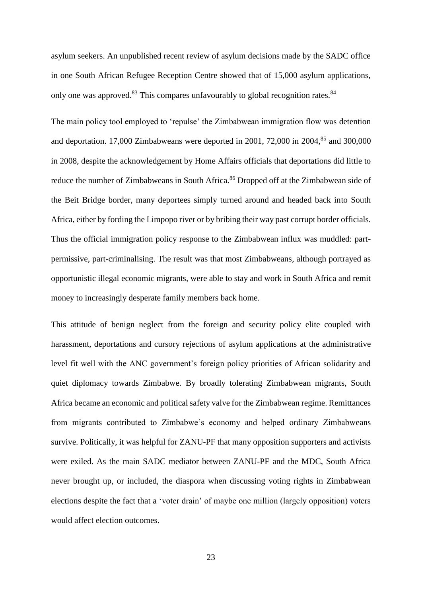asylum seekers. An unpublished recent review of asylum decisions made by the SADC office in one South African Refugee Reception Centre showed that of 15,000 asylum applications, only one was approved.<sup>83</sup> This compares unfavourably to global recognition rates.<sup>84</sup>

The main policy tool employed to 'repulse' the Zimbabwean immigration flow was detention and deportation. 17,000 Zimbabweans were deported in 2001, 72,000 in 2004, $85$  and 300,000 in 2008, despite the acknowledgement by Home Affairs officials that deportations did little to reduce the number of Zimbabweans in South Africa.<sup>86</sup> Dropped off at the Zimbabwean side of the Beit Bridge border, many deportees simply turned around and headed back into South Africa, either by fording the Limpopo river or by bribing their way past corrupt border officials. Thus the official immigration policy response to the Zimbabwean influx was muddled: partpermissive, part-criminalising. The result was that most Zimbabweans, although portrayed as opportunistic illegal economic migrants, were able to stay and work in South Africa and remit money to increasingly desperate family members back home.

This attitude of benign neglect from the foreign and security policy elite coupled with harassment, deportations and cursory rejections of asylum applications at the administrative level fit well with the ANC government's foreign policy priorities of African solidarity and quiet diplomacy towards Zimbabwe. By broadly tolerating Zimbabwean migrants, South Africa became an economic and political safety valve for the Zimbabwean regime. Remittances from migrants contributed to Zimbabwe's economy and helped ordinary Zimbabweans survive. Politically, it was helpful for ZANU-PF that many opposition supporters and activists were exiled. As the main SADC mediator between ZANU-PF and the MDC, South Africa never brought up, or included, the diaspora when discussing voting rights in Zimbabwean elections despite the fact that a 'voter drain' of maybe one million (largely opposition) voters would affect election outcomes.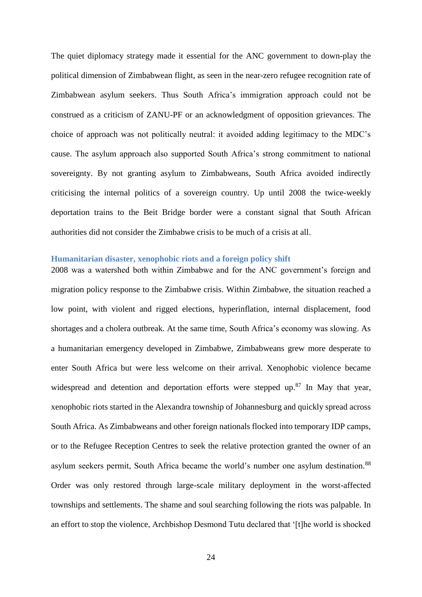The quiet diplomacy strategy made it essential for the ANC government to down-play the political dimension of Zimbabwean flight, as seen in the near-zero refugee recognition rate of Zimbabwean asylum seekers. Thus South Africa's immigration approach could not be construed as a criticism of ZANU-PF or an acknowledgment of opposition grievances. The choice of approach was not politically neutral: it avoided adding legitimacy to the MDC's cause. The asylum approach also supported South Africa's strong commitment to national sovereignty. By not granting asylum to Zimbabweans, South Africa avoided indirectly criticising the internal politics of a sovereign country. Up until 2008 the twice-weekly deportation trains to the Beit Bridge border were a constant signal that South African authorities did not consider the Zimbabwe crisis to be much of a crisis at all.

#### **Humanitarian disaster, xenophobic riots and a foreign policy shift**

2008 was a watershed both within Zimbabwe and for the ANC government's foreign and migration policy response to the Zimbabwe crisis. Within Zimbabwe, the situation reached a low point, with violent and rigged elections, hyperinflation, internal displacement, food shortages and a cholera outbreak. At the same time, South Africa's economy was slowing. As a humanitarian emergency developed in Zimbabwe, Zimbabweans grew more desperate to enter South Africa but were less welcome on their arrival. Xenophobic violence became widespread and detention and deportation efforts were stepped up.<sup>87</sup> In May that year, xenophobic riots started in the Alexandra township of Johannesburg and quickly spread across South Africa. As Zimbabweans and other foreign nationals flocked into temporary IDP camps, or to the Refugee Reception Centres to seek the relative protection granted the owner of an asylum seekers permit, South Africa became the world's number one asylum destination.<sup>88</sup> Order was only restored through large-scale military deployment in the worst-affected townships and settlements. The shame and soul searching following the riots was palpable. In an effort to stop the violence, Archbishop Desmond Tutu declared that '[t]he world is shocked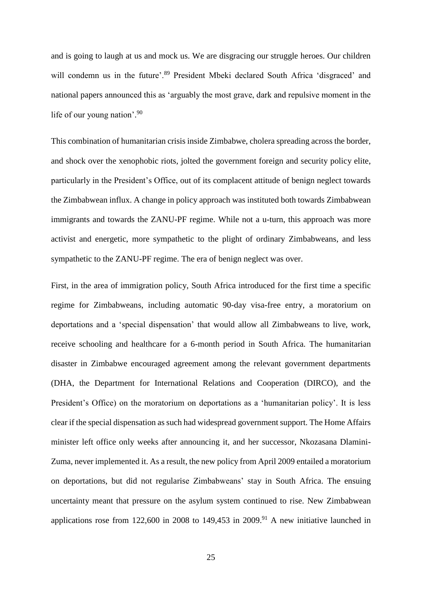and is going to laugh at us and mock us. We are disgracing our struggle heroes. Our children will condemn us in the future'.<sup>89</sup> President Mbeki declared South Africa 'disgraced' and national papers announced this as 'arguably the most grave, dark and repulsive moment in the life of our young nation'. 90

This combination of humanitarian crisis inside Zimbabwe, cholera spreading across the border, and shock over the xenophobic riots, jolted the government foreign and security policy elite, particularly in the President's Office, out of its complacent attitude of benign neglect towards the Zimbabwean influx. A change in policy approach was instituted both towards Zimbabwean immigrants and towards the ZANU-PF regime. While not a u-turn, this approach was more activist and energetic, more sympathetic to the plight of ordinary Zimbabweans, and less sympathetic to the ZANU-PF regime. The era of benign neglect was over.

First, in the area of immigration policy, South Africa introduced for the first time a specific regime for Zimbabweans, including automatic 90-day visa-free entry, a moratorium on deportations and a 'special dispensation' that would allow all Zimbabweans to live, work, receive schooling and healthcare for a 6-month period in South Africa. The humanitarian disaster in Zimbabwe encouraged agreement among the relevant government departments (DHA, the Department for International Relations and Cooperation (DIRCO), and the President's Office) on the moratorium on deportations as a 'humanitarian policy'. It is less clear if the special dispensation as such had widespread government support. The Home Affairs minister left office only weeks after announcing it, and her successor, Nkozasana Dlamini-Zuma, never implemented it. As a result, the new policy from April 2009 entailed a moratorium on deportations, but did not regularise Zimbabweans' stay in South Africa. The ensuing uncertainty meant that pressure on the asylum system continued to rise. New Zimbabwean applications rose from 122,600 in 2008 to 149,453 in 2009.<sup>91</sup> A new initiative launched in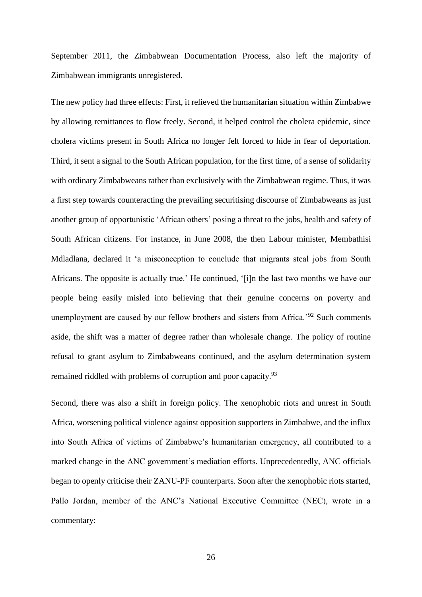September 2011, the Zimbabwean Documentation Process, also left the majority of Zimbabwean immigrants unregistered.

The new policy had three effects: First, it relieved the humanitarian situation within Zimbabwe by allowing remittances to flow freely. Second, it helped control the cholera epidemic, since cholera victims present in South Africa no longer felt forced to hide in fear of deportation. Third, it sent a signal to the South African population, for the first time, of a sense of solidarity with ordinary Zimbabweans rather than exclusively with the Zimbabwean regime. Thus, it was a first step towards counteracting the prevailing securitising discourse of Zimbabweans as just another group of opportunistic 'African others' posing a threat to the jobs, health and safety of South African citizens. For instance, in June 2008, the then Labour minister, Membathisi Mdladlana, declared it 'a misconception to conclude that migrants steal jobs from South Africans. The opposite is actually true.' He continued, '[i]n the last two months we have our people being easily misled into believing that their genuine concerns on poverty and unemployment are caused by our fellow brothers and sisters from Africa.'<sup>92</sup> Such comments aside, the shift was a matter of degree rather than wholesale change. The policy of routine refusal to grant asylum to Zimbabweans continued, and the asylum determination system remained riddled with problems of corruption and poor capacity.<sup>93</sup>

Second, there was also a shift in foreign policy. The xenophobic riots and unrest in South Africa, worsening political violence against opposition supporters in Zimbabwe, and the influx into South Africa of victims of Zimbabwe's humanitarian emergency, all contributed to a marked change in the ANC government's mediation efforts. Unprecedentedly, ANC officials began to openly criticise their ZANU-PF counterparts. Soon after the xenophobic riots started, Pallo Jordan, member of the ANC's National Executive Committee (NEC), wrote in a commentary: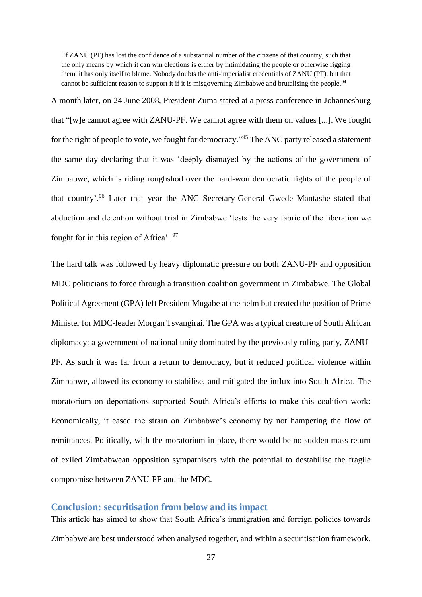If ZANU (PF) has lost the confidence of a substantial number of the citizens of that country, such that the only means by which it can win elections is either by intimidating the people or otherwise rigging them, it has only itself to blame. Nobody doubts the anti-imperialist credentials of ZANU (PF), but that cannot be sufficient reason to support it if it is misgoverning Zimbabwe and brutalising the people.<sup>94</sup>

A month later, on 24 June 2008, President Zuma stated at a press conference in Johannesburg that "[w]e cannot agree with ZANU-PF. We cannot agree with them on values [...]. We fought for the right of people to vote, we fought for democracy."<sup>95</sup> The ANC party released a statement the same day declaring that it was 'deeply dismayed by the actions of the government of Zimbabwe, which is riding roughshod over the hard-won democratic rights of the people of that country'.<sup>96</sup> Later that year the ANC Secretary-General Gwede Mantashe stated that abduction and detention without trial in Zimbabwe 'tests the very fabric of the liberation we fought for in this region of Africa'. <sup>97</sup>

The hard talk was followed by heavy diplomatic pressure on both ZANU-PF and opposition MDC politicians to force through a transition coalition government in Zimbabwe. The Global Political Agreement (GPA) left President Mugabe at the helm but created the position of Prime Minister for MDC-leader Morgan Tsvangirai. The GPA was a typical creature of South African diplomacy: a government of national unity dominated by the previously ruling party, ZANU-PF. As such it was far from a return to democracy, but it reduced political violence within Zimbabwe, allowed its economy to stabilise, and mitigated the influx into South Africa. The moratorium on deportations supported South Africa's efforts to make this coalition work: Economically, it eased the strain on Zimbabwe's economy by not hampering the flow of remittances. Politically, with the moratorium in place, there would be no sudden mass return of exiled Zimbabwean opposition sympathisers with the potential to destabilise the fragile compromise between ZANU-PF and the MDC.

#### **Conclusion: securitisation from below and its impact**

This article has aimed to show that South Africa's immigration and foreign policies towards Zimbabwe are best understood when analysed together, and within a securitisation framework.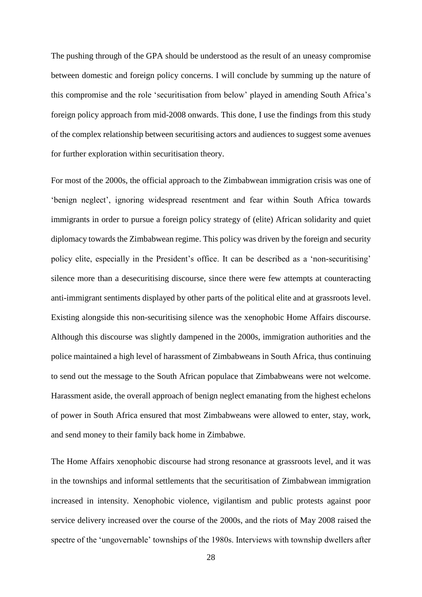The pushing through of the GPA should be understood as the result of an uneasy compromise between domestic and foreign policy concerns. I will conclude by summing up the nature of this compromise and the role 'securitisation from below' played in amending South Africa's foreign policy approach from mid-2008 onwards. This done, I use the findings from this study of the complex relationship between securitising actors and audiences to suggest some avenues for further exploration within securitisation theory.

For most of the 2000s, the official approach to the Zimbabwean immigration crisis was one of 'benign neglect', ignoring widespread resentment and fear within South Africa towards immigrants in order to pursue a foreign policy strategy of (elite) African solidarity and quiet diplomacy towards the Zimbabwean regime. This policy was driven by the foreign and security policy elite, especially in the President's office. It can be described as a 'non-securitising' silence more than a desecuritising discourse, since there were few attempts at counteracting anti-immigrant sentiments displayed by other parts of the political elite and at grassroots level. Existing alongside this non-securitising silence was the xenophobic Home Affairs discourse. Although this discourse was slightly dampened in the 2000s, immigration authorities and the police maintained a high level of harassment of Zimbabweans in South Africa, thus continuing to send out the message to the South African populace that Zimbabweans were not welcome. Harassment aside, the overall approach of benign neglect emanating from the highest echelons of power in South Africa ensured that most Zimbabweans were allowed to enter, stay, work, and send money to their family back home in Zimbabwe.

The Home Affairs xenophobic discourse had strong resonance at grassroots level, and it was in the townships and informal settlements that the securitisation of Zimbabwean immigration increased in intensity. Xenophobic violence, vigilantism and public protests against poor service delivery increased over the course of the 2000s, and the riots of May 2008 raised the spectre of the 'ungovernable' townships of the 1980s. Interviews with township dwellers after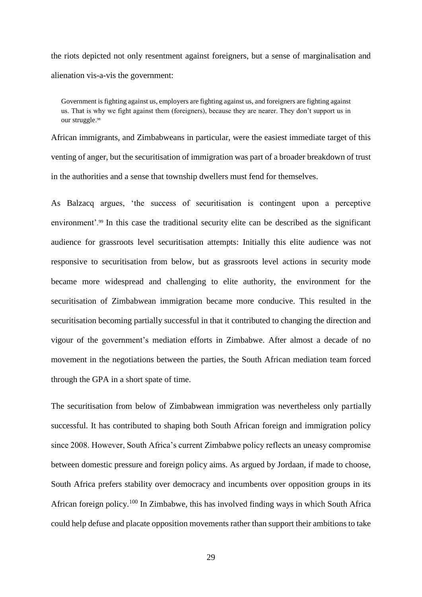the riots depicted not only resentment against foreigners, but a sense of marginalisation and alienation vis-a-vis the government:

Government is fighting against us, employers are fighting against us, and foreigners are fighting against us. That is why we fight against them (foreigners), because they are nearer. They don't support us in our struggle.<sup>98</sup>

African immigrants, and Zimbabweans in particular, were the easiest immediate target of this venting of anger, but the securitisation of immigration was part of a broader breakdown of trust in the authorities and a sense that township dwellers must fend for themselves.

As Balzacq argues, 'the success of securitisation is contingent upon a perceptive environment'.<sup>99</sup> In this case the traditional security elite can be described as the significant audience for grassroots level securitisation attempts: Initially this elite audience was not responsive to securitisation from below, but as grassroots level actions in security mode became more widespread and challenging to elite authority, the environment for the securitisation of Zimbabwean immigration became more conducive. This resulted in the securitisation becoming partially successful in that it contributed to changing the direction and vigour of the government's mediation efforts in Zimbabwe. After almost a decade of no movement in the negotiations between the parties, the South African mediation team forced through the GPA in a short spate of time.

The securitisation from below of Zimbabwean immigration was nevertheless only partially successful. It has contributed to shaping both South African foreign and immigration policy since 2008. However, South Africa's current Zimbabwe policy reflects an uneasy compromise between domestic pressure and foreign policy aims. As argued by Jordaan, if made to choose, South Africa prefers stability over democracy and incumbents over opposition groups in its African foreign policy.<sup>100</sup> In Zimbabwe, this has involved finding ways in which South Africa could help defuse and placate opposition movements rather than support their ambitions to take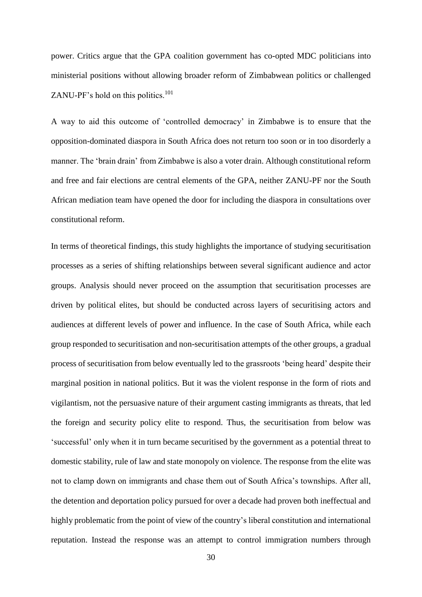power. Critics argue that the GPA coalition government has co-opted MDC politicians into ministerial positions without allowing broader reform of Zimbabwean politics or challenged ZANU-PF's hold on this politics. $101$ 

A way to aid this outcome of 'controlled democracy' in Zimbabwe is to ensure that the opposition-dominated diaspora in South Africa does not return too soon or in too disorderly a manner. The 'brain drain' from Zimbabwe is also a voter drain. Although constitutional reform and free and fair elections are central elements of the GPA, neither ZANU-PF nor the South African mediation team have opened the door for including the diaspora in consultations over constitutional reform.

In terms of theoretical findings, this study highlights the importance of studying securitisation processes as a series of shifting relationships between several significant audience and actor groups. Analysis should never proceed on the assumption that securitisation processes are driven by political elites, but should be conducted across layers of securitising actors and audiences at different levels of power and influence. In the case of South Africa, while each group responded to securitisation and non-securitisation attempts of the other groups, a gradual process of securitisation from below eventually led to the grassroots 'being heard' despite their marginal position in national politics. But it was the violent response in the form of riots and vigilantism, not the persuasive nature of their argument casting immigrants as threats, that led the foreign and security policy elite to respond. Thus, the securitisation from below was 'successful' only when it in turn became securitised by the government as a potential threat to domestic stability, rule of law and state monopoly on violence. The response from the elite was not to clamp down on immigrants and chase them out of South Africa's townships. After all, the detention and deportation policy pursued for over a decade had proven both ineffectual and highly problematic from the point of view of the country's liberal constitution and international reputation. Instead the response was an attempt to control immigration numbers through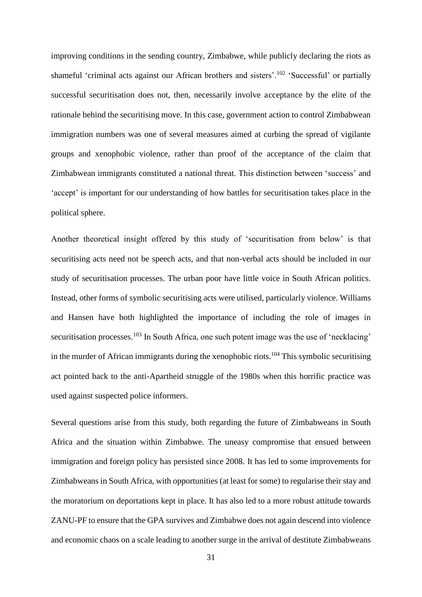improving conditions in the sending country, Zimbabwe, while publicly declaring the riots as shameful 'criminal acts against our African brothers and sisters'.<sup>102</sup> 'Successful' or partially successful securitisation does not, then, necessarily involve acceptance by the elite of the rationale behind the securitising move. In this case, government action to control Zimbabwean immigration numbers was one of several measures aimed at curbing the spread of vigilante groups and xenophobic violence, rather than proof of the acceptance of the claim that Zimbabwean immigrants constituted a national threat. This distinction between 'success' and 'accept' is important for our understanding of how battles for securitisation takes place in the political sphere.

Another theoretical insight offered by this study of 'securitisation from below' is that securitising acts need not be speech acts, and that non-verbal acts should be included in our study of securitisation processes. The urban poor have little voice in South African politics. Instead, other forms of symbolic securitising acts were utilised, particularly violence. Williams and Hansen have both highlighted the importance of including the role of images in securitisation processes.<sup>103</sup> In South Africa, one such potent image was the use of 'necklacing' in the murder of African immigrants during the xenophobic riots.<sup>104</sup> This symbolic securitising act pointed back to the anti-Apartheid struggle of the 1980s when this horrific practice was used against suspected police informers.

Several questions arise from this study, both regarding the future of Zimbabweans in South Africa and the situation within Zimbabwe. The uneasy compromise that ensued between immigration and foreign policy has persisted since 2008. It has led to some improvements for Zimbabweans in South Africa, with opportunities (at least for some) to regularise their stay and the moratorium on deportations kept in place. It has also led to a more robust attitude towards ZANU-PF to ensure that the GPA survives and Zimbabwe does not again descend into violence and economic chaos on a scale leading to another surge in the arrival of destitute Zimbabweans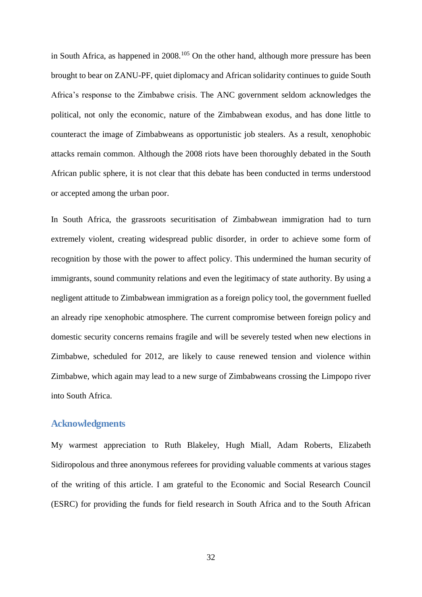in South Africa, as happened in  $2008$ <sup> $105$ </sup> On the other hand, although more pressure has been brought to bear on ZANU-PF, quiet diplomacy and African solidarity continues to guide South Africa's response to the Zimbabwe crisis. The ANC government seldom acknowledges the political, not only the economic, nature of the Zimbabwean exodus, and has done little to counteract the image of Zimbabweans as opportunistic job stealers. As a result, xenophobic attacks remain common. Although the 2008 riots have been thoroughly debated in the South African public sphere, it is not clear that this debate has been conducted in terms understood or accepted among the urban poor.

In South Africa, the grassroots securitisation of Zimbabwean immigration had to turn extremely violent, creating widespread public disorder, in order to achieve some form of recognition by those with the power to affect policy. This undermined the human security of immigrants, sound community relations and even the legitimacy of state authority. By using a negligent attitude to Zimbabwean immigration as a foreign policy tool, the government fuelled an already ripe xenophobic atmosphere. The current compromise between foreign policy and domestic security concerns remains fragile and will be severely tested when new elections in Zimbabwe, scheduled for 2012, are likely to cause renewed tension and violence within Zimbabwe, which again may lead to a new surge of Zimbabweans crossing the Limpopo river into South Africa.

#### **Acknowledgments**

My warmest appreciation to Ruth Blakeley, Hugh Miall, Adam Roberts, Elizabeth Sidiropolous and three anonymous referees for providing valuable comments at various stages of the writing of this article. I am grateful to the Economic and Social Research Council (ESRC) for providing the funds for field research in South Africa and to the South African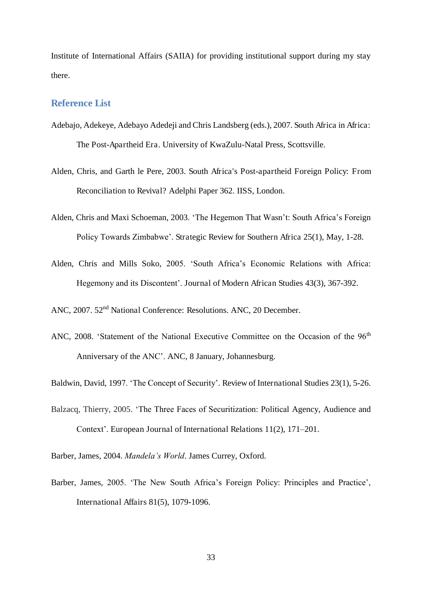Institute of International Affairs (SAIIA) for providing institutional support during my stay there.

#### **Reference List**

- Adebajo, Adekeye, Adebayo Adedeji and Chris Landsberg (eds.), 2007. South Africa in Africa: The Post-Apartheid Era. University of KwaZulu-Natal Press, Scottsville.
- Alden, Chris, and Garth le Pere, 2003. South Africa's Post-apartheid Foreign Policy: From Reconciliation to Revival? Adelphi Paper 362. IISS, London.
- Alden, Chris and Maxi Schoeman, 2003. 'The Hegemon That Wasn't: South Africa's Foreign Policy Towards Zimbabwe'. Strategic Review for Southern Africa 25(1), May, 1-28.
- Alden, Chris and Mills Soko, 2005. 'South Africa's Economic Relations with Africa: Hegemony and its Discontent'. Journal of Modern African Studies 43(3), 367-392.
- ANC, 2007. 52nd National Conference: Resolutions. ANC, 20 December.
- ANC, 2008. 'Statement of the National Executive Committee on the Occasion of the 96<sup>th</sup> Anniversary of the ANC'. ANC, 8 January, Johannesburg.

Baldwin, David, 1997. 'The Concept of Security'. Review of International Studies 23(1), 5-26.

- Balzacq, Thierry, 2005. 'The Three Faces of Securitization: Political Agency, Audience and Context'. European Journal of International Relations 11(2), 171–201.
- Barber, James, 2004. *Mandela's World*. James Currey, Oxford.
- Barber, James, 2005. 'The New South Africa's Foreign Policy: Principles and Practice', International Affairs 81(5), 1079-1096.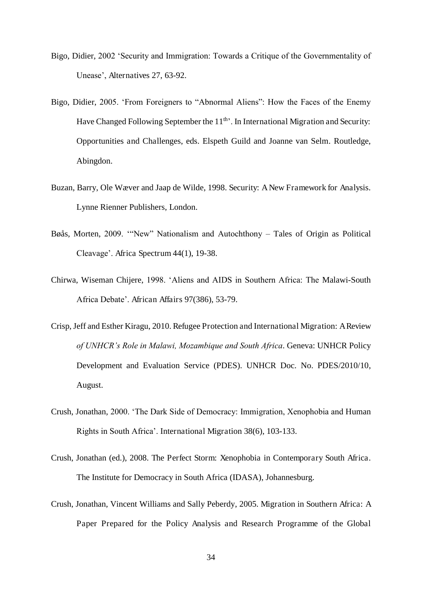- Bigo, Didier, 2002 'Security and Immigration: Towards a Critique of the Governmentality of Unease', Alternatives 27, 63-92.
- Bigo, Didier, 2005. 'From Foreigners to "Abnormal Aliens": How the Faces of the Enemy Have Changed Following September the  $11<sup>th</sup>$ . In International Migration and Security: Opportunities and Challenges, eds. Elspeth Guild and Joanne van Selm. Routledge, Abingdon.
- Buzan, Barry, Ole Wæver and Jaap de Wilde, 1998. Security: A New Framework for Analysis. Lynne Rienner Publishers, London.
- Bøås, Morten, 2009. '"New" Nationalism and Autochthony Tales of Origin as Political Cleavage'. Africa Spectrum 44(1), 19-38.
- Chirwa, Wiseman Chijere, 1998. 'Aliens and AIDS in Southern Africa: The Malawi-South Africa Debate'. African Affairs 97(386), 53-79.
- Crisp, Jeff and Esther Kiragu, 2010. Refugee Protection and International Migration: A Review *of UNHCR's Role in Malawi, Mozambique and South Africa*. Geneva: UNHCR Policy Development and Evaluation Service (PDES). UNHCR Doc. No. PDES/2010/10, August.
- Crush, Jonathan, 2000. 'The Dark Side of Democracy: Immigration, Xenophobia and Human Rights in South Africa'. International Migration 38(6), 103-133.
- Crush, Jonathan (ed.), 2008. The Perfect Storm: Xenophobia in Contemporary South Africa. The Institute for Democracy in South Africa (IDASA), Johannesburg.
- Crush, Jonathan, Vincent Williams and Sally Peberdy, 2005. Migration in Southern Africa: A Paper Prepared for the Policy Analysis and Research Programme of the Global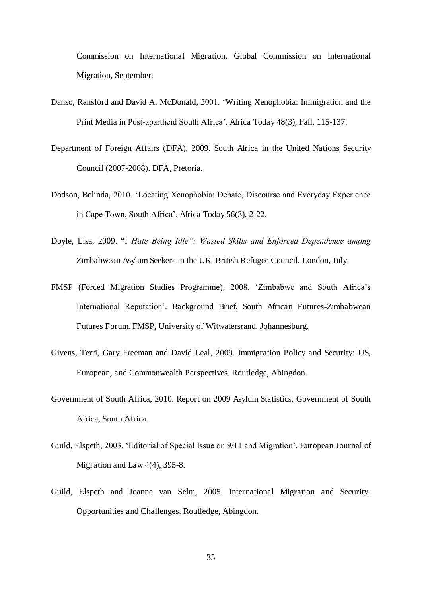Commission on International Migration. Global Commission on International Migration, September.

- Danso, Ransford and David A. McDonald, 2001. 'Writing Xenophobia: Immigration and the Print Media in Post-apartheid South Africa'. Africa Today 48(3), Fall, 115-137.
- Department of Foreign Affairs (DFA), 2009. South Africa in the United Nations Security Council (2007-2008). DFA, Pretoria.
- Dodson, Belinda, 2010. 'Locating Xenophobia: Debate, Discourse and Everyday Experience in Cape Town, South Africa'. Africa Today 56(3), 2-22.
- Doyle, Lisa, 2009. "I *Hate Being Idle": Wasted Skills and Enforced Dependence among*  Zimbabwean Asylum Seekers in the UK. British Refugee Council, London, July.
- FMSP (Forced Migration Studies Programme), 2008. 'Zimbabwe and South Africa's International Reputation'. Background Brief, South African Futures-Zimbabwean Futures Forum. FMSP, University of Witwatersrand, Johannesburg.
- Givens, Terri, Gary Freeman and David Leal, 2009. Immigration Policy and Security: US, European, and Commonwealth Perspectives. Routledge, Abingdon.
- Government of South Africa, 2010. Report on 2009 Asylum Statistics. Government of South Africa, South Africa.
- Guild, Elspeth, 2003. 'Editorial of Special Issue on 9/11 and Migration'. European Journal of Migration and Law 4(4), 395-8.
- Guild, Elspeth and Joanne van Selm, 2005. International Migration and Security: Opportunities and Challenges. Routledge, Abingdon.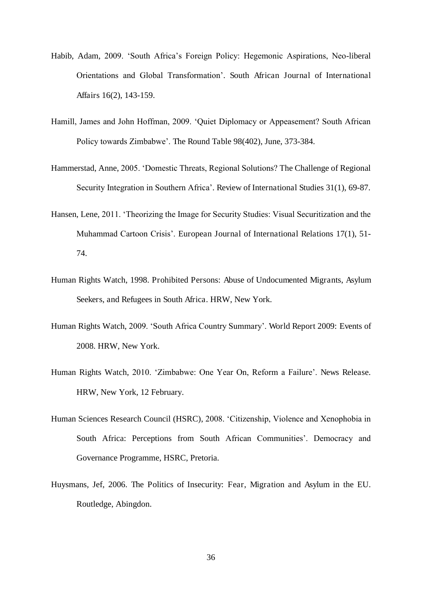- Habib, Adam, 2009. 'South Africa's Foreign Policy: Hegemonic Aspirations, Neo-liberal Orientations and Global Transformation'. South African Journal of International Affairs 16(2), 143-159.
- Hamill, James and John Hoffman, 2009. 'Quiet Diplomacy or Appeasement? South African Policy towards Zimbabwe'. The Round Table 98(402), June, 373-384.
- Hammerstad, Anne, 2005. 'Domestic Threats, Regional Solutions? The Challenge of Regional Security Integration in Southern Africa'. Review of International Studies 31(1), 69-87.
- Hansen, Lene, 2011. 'Theorizing the Image for Security Studies: Visual Securitization and the Muhammad Cartoon Crisis'. European Journal of International Relations 17(1), 51- 74.
- Human Rights Watch, 1998. Prohibited Persons: Abuse of Undocumented Migrants, Asylum Seekers, and Refugees in South Africa. HRW, New York.
- Human Rights Watch, 2009. 'South Africa Country Summary'. World Report 2009: Events of 2008. HRW, New York.
- Human Rights Watch, 2010. 'Zimbabwe: One Year On, Reform a Failure'. News Release. HRW, New York, 12 February.
- Human Sciences Research Council (HSRC), 2008. 'Citizenship, Violence and Xenophobia in South Africa: Perceptions from South African Communities'. Democracy and Governance Programme, HSRC, Pretoria.
- Huysmans, Jef, 2006. The Politics of Insecurity: Fear, Migration and Asylum in the EU. Routledge, Abingdon.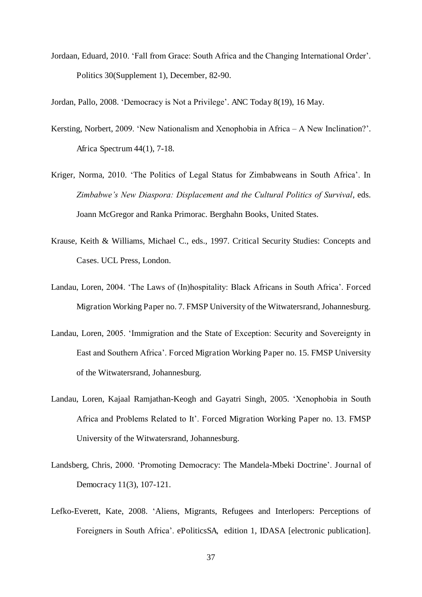Jordaan, Eduard, 2010. 'Fall from Grace: South Africa and the Changing International Order'. Politics 30(Supplement 1), December, 82-90.

Jordan, Pallo, 2008. 'Democracy is Not a Privilege'. ANC Today 8(19), 16 May.

- Kersting, Norbert, 2009. 'New Nationalism and Xenophobia in Africa A New Inclination?'. Africa Spectrum 44(1), 7-18.
- Kriger, Norma, 2010. 'The Politics of Legal Status for Zimbabweans in South Africa'. In *Zimbabwe's New Diaspora: Displacement and the Cultural Politics of Survival*, eds. Joann McGregor and Ranka Primorac. Berghahn Books, United States.
- Krause, Keith & Williams, Michael C., eds., 1997. Critical Security Studies: Concepts and Cases. UCL Press, London.
- Landau, Loren, 2004. 'The Laws of (In)hospitality: Black Africans in South Africa'. Forced Migration Working Paper no. 7. FMSP University of the Witwatersrand, Johannesburg.
- Landau, Loren, 2005. 'Immigration and the State of Exception: Security and Sovereignty in East and Southern Africa'. Forced Migration Working Paper no. 15. FMSP University of the Witwatersrand, Johannesburg.
- Landau, Loren, Kajaal Ramjathan-Keogh and Gayatri Singh, 2005. 'Xenophobia in South Africa and Problems Related to It'. Forced Migration Working Paper no. 13. FMSP University of the Witwatersrand, Johannesburg.
- Landsberg, Chris, 2000. 'Promoting Democracy: The Mandela-Mbeki Doctrine'. Journal of Democracy 11(3), 107-121.
- Lefko-Everett, Kate, 2008. 'Aliens, Migrants, Refugees and Interlopers: Perceptions of Foreigners in South Africa'. ePoliticsSA, edition 1, IDASA [electronic publication].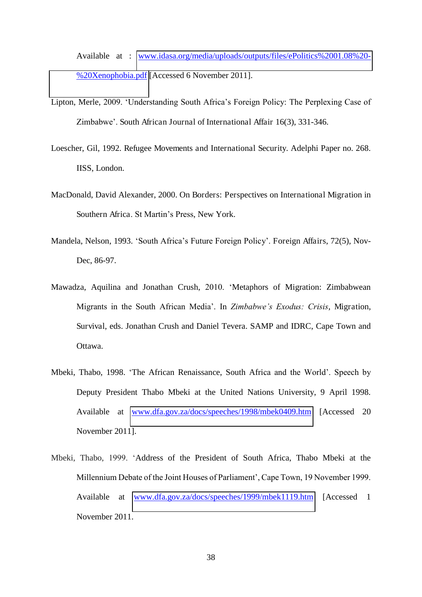Available at : [www.idasa.org/media/uploads/outputs/files/ePolitics%2001.08%20-](http://www.idasa.org/media/uploads/outputs/files/ePolitics%2001.08%20-%20Xenophobia.pdf) [%20Xenophobia.pdf](http://www.idasa.org/media/uploads/outputs/files/ePolitics%2001.08%20-%20Xenophobia.pdf) [Accessed 6 November 2011].

- Lipton, Merle, 2009. 'Understanding South Africa's Foreign Policy: The Perplexing Case of Zimbabwe'. South African Journal of International Affair 16(3), 331-346.
- Loescher, Gil, 1992. Refugee Movements and International Security. Adelphi Paper no. 268. IISS, London.
- MacDonald, David Alexander, 2000. On Borders: Perspectives on International Migration in Southern Africa. St Martin's Press, New York.
- Mandela, Nelson, 1993. 'South Africa's Future Foreign Policy'. Foreign Affairs, 72(5), Nov-Dec, 86-97.
- Mawadza, Aquilina and Jonathan Crush, 2010. 'Metaphors of Migration: Zimbabwean Migrants in the South African Media'. In *Zimbabwe's Exodus: Crisis*, Migration, Survival, eds. Jonathan Crush and Daniel Tevera. SAMP and IDRC, Cape Town and Ottawa.
- Mbeki, Thabo, 1998. 'The African Renaissance, South Africa and the World'. Speech by Deputy President Thabo Mbeki at the United Nations University, 9 April 1998. Available at [www.dfa.gov.za/docs/speeches/1998/mbek0409.htm](http://www.dfa.gov.za/docs/speeches/1998/mbek0409.htm) [Accessed 20 November 2011].
- Mbeki, Thabo, 1999. 'Address of the President of South Africa, Thabo Mbeki at the Millennium Debate of the Joint Houses of Parliament', Cape Town, 19 November 1999. Available at [www.dfa.gov.za/docs/speeches/1999/mbek1119.htm](http://www.dfa.gov.za/docs/speeches/1999/mbek1119.htm) [Accessed 1 November 2011.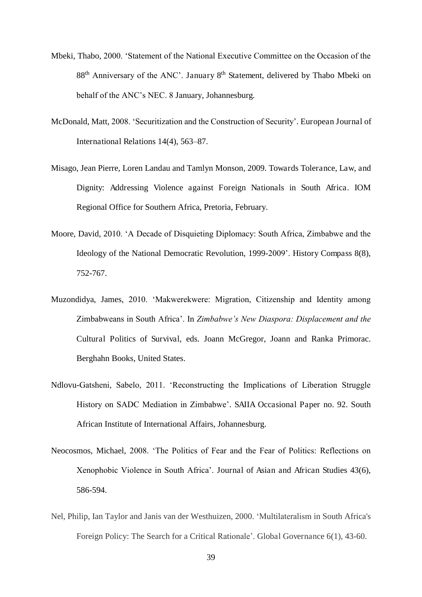- Mbeki, Thabo, 2000. 'Statement of the National Executive Committee on the Occasion of the  $88<sup>th</sup>$  Anniversary of the ANC'. January  $8<sup>th</sup>$  Statement, delivered by Thabo Mbeki on behalf of the ANC's NEC. 8 January, Johannesburg.
- McDonald, Matt, 2008. 'Securitization and the Construction of Security'. European Journal of International Relations 14(4), 563–87.
- Misago, Jean Pierre, Loren Landau and Tamlyn Monson, 2009. Towards Tolerance, Law, and Dignity: Addressing Violence against Foreign Nationals in South Africa. IOM Regional Office for Southern Africa, Pretoria, February.
- Moore, David, 2010. 'A Decade of Disquieting Diplomacy: South Africa, Zimbabwe and the Ideology of the National Democratic Revolution, 1999-2009'. History Compass 8(8), 752-767.
- Muzondidya, James, 2010. 'Makwerekwere: Migration, Citizenship and Identity among Zimbabweans in South Africa'. In *Zimbabwe's New Diaspora: Displacement and the*  Cultural Politics of Survival, eds. Joann McGregor, Joann and Ranka Primorac. Berghahn Books, United States.
- Ndlovu-Gatsheni, Sabelo, 2011. 'Reconstructing the Implications of Liberation Struggle History on SADC Mediation in Zimbabwe'. SAIIA Occasional Paper no. 92. South African Institute of International Affairs, Johannesburg.
- Neocosmos, Michael, 2008. 'The Politics of Fear and the Fear of Politics: Reflections on Xenophobic Violence in South Africa'. Journal of Asian and African Studies 43(6), 586-594.
- Nel, Philip, Ian Taylor and Janis van der Westhuizen, 2000. 'Multilateralism in South Africa's Foreign Policy: The Search for a Critical Rationale'. Global Governance 6(1), 43-60.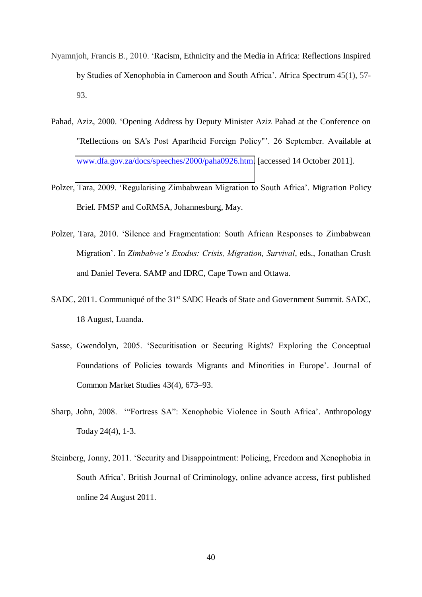- Nyamnjoh, Francis B., 2010. 'Racism, Ethnicity and the Media in Africa: Reflections Inspired by Studies of Xenophobia in Cameroon and South Africa'. Africa Spectrum 45(1), 57- 93.
- Pahad, Aziz, 2000. 'Opening Address by Deputy Minister Aziz Pahad at the Conference on "Reflections on SA's Post Apartheid Foreign Policy"'. 26 September. Available at [www.dfa.gov.za/docs/speeches/2000/paha0926.htm.](http://www.dfa.gov.za/docs/speeches/2000/paha0926.htm) [accessed 14 October 2011].
- Polzer, Tara, 2009. 'Regularising Zimbabwean Migration to South Africa'. Migration Policy Brief. FMSP and CoRMSA, Johannesburg, May.
- Polzer, Tara, 2010. 'Silence and Fragmentation: South African Responses to Zimbabwean Migration'. In *Zimbabwe's Exodus: Crisis, Migration, Survival*, eds., Jonathan Crush and Daniel Tevera. SAMP and IDRC, Cape Town and Ottawa.
- SADC, 2011. Communiqué of the 31<sup>st</sup> SADC Heads of State and Government Summit. SADC, 18 August, Luanda.
- Sasse, Gwendolyn, 2005. 'Securitisation or Securing Rights? Exploring the Conceptual Foundations of Policies towards Migrants and Minorities in Europe'. Journal of Common Market Studies 43(4), 673–93.
- Sharp, John, 2008. '"Fortress SA": Xenophobic Violence in South Africa'. Anthropology Today 24(4), 1-3.
- Steinberg, Jonny, 2011. 'Security and Disappointment: Policing, Freedom and Xenophobia in South Africa'. British Journal of Criminology, online advance access, first published online 24 August 2011.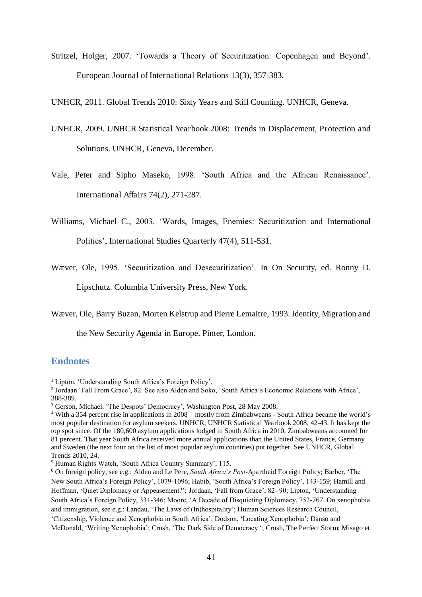Stritzel, Holger, 2007. 'Towards a Theory of Securitization: Copenhagen and Beyond'. European Journal of International Relations 13(3), 357-383.

UNHCR, 2011. Global Trends 2010: Sixty Years and Still Counting. UNHCR, Geneva.

- UNHCR, 2009. UNHCR Statistical Yearbook 2008: Trends in Displacement, Protection and Solutions. UNHCR, Geneva, December.
- Vale, Peter and Sipho Maseko, 1998. 'South Africa and the African Renaissance'. International Affairs 74(2), 271-287.

Williams, Michael C., 2003. 'Words, Images, Enemies: Securitization and International Politics', International Studies Quarterly 47(4), 511-531.

Wæver, Ole, 1995. 'Securitization and Desecuritization'. In On Security, ed. Ronny D.

Lipschutz. Columbia University Press, New York.

Wæver, Ole, Barry Buzan, Morten Kelstrup and Pierre Lemaitre, 1993. Identity, Migration and

the New Security Agenda in Europe. Pinter, London.

#### **Endnotes**

<sup>&</sup>lt;sup>1</sup> Lipton, 'Understanding South Africa's Foreign Policy'. <u>.</u>

<sup>&</sup>lt;sup>2</sup> Jordaan 'Fall From Grace', 82. See also Alden and Soko, 'South Africa's Economic Relations with Africa', 388-389.

<sup>&</sup>lt;sup>3</sup> Gerson, Michael, 'The Despots' Democracy', Washington Post, 28 May 2008.

<sup>4</sup> With a 354 percent rise in applications in 2008 – mostly from Zimbabweans - South Africa became the world's most popular destination for asylum seekers. UNHCR, UNHCR Statistical Yearbook 2008, 42-43. It has kept the top spot since. Of the 180,600 asylum applications lodged in South Africa in 2010, Zimbabweans accounted for 81 percent. That year South Africa received more annual applications than the United States, France, Germany and Sweden (the next four on the list of most popular asylum countries) put together. See UNHCR, Global Trends 2010, 24.

<sup>5</sup> Human Rights Watch, 'South Africa Country Summary', 115.

<sup>6</sup> On foreign policy, see e.g.: Alden and Le Pere, *South Africa's Post*-Apartheid Foreign Policy; Barber, 'The New South Africa's Foreign Policy', 1079-1096; Habib, 'South Africa's Foreign Policy', 143-159; Hamill and Hoffman, 'Quiet Diplomacy or Appeasement?'; Jordaan, 'Fall from Grace', 82- 90; Lipton, 'Understanding South Africa's Foreign Policy, 331-346; Moore, 'A Decade of Disquieting Diplomacy, 752-767. On xenophobia and immigration, see e.g.: Landau, 'The Laws of (In)hospitality'; Human Sciences Research Council, 'Citizenship, Violence and Xenophobia in South Africa'; Dodson, 'Locating Xenophobia'; Danso and McDonald, 'Writing Xenophobia'; Crush, 'The Dark Side of Democracy '; Crush, The Perfect Storm; Misago et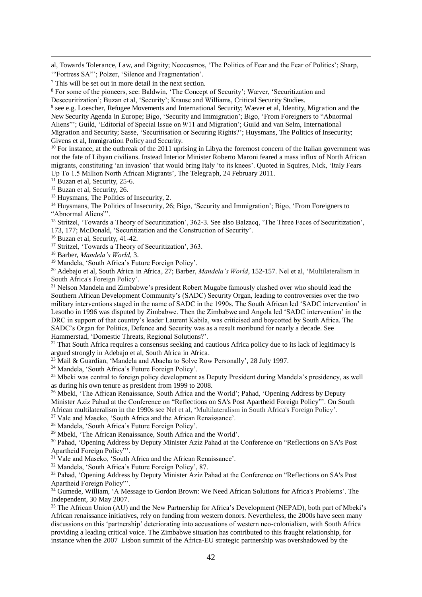al, Towards Tolerance, Law, and Dignity; Neocosmos, 'The Politics of Fear and the Fear of Politics'; Sharp, '"Fortress SA"'; Polzer, 'Silence and Fragmentation'.

<sup>9</sup> see e.g. Loescher, Refugee Movements and International Security; Wæver et al, Identity, Migration and the New Security Agenda in Europe; Bigo, 'Security and Immigration'; Bigo, 'From Foreigners to "Abnormal Aliens"'; Guild, 'Editorial of Special Issue on 9/11 and Migration'; Guild and van Selm, International Migration and Security; Sasse, 'Securitisation or Securing Rights?'; Huysmans, The Politics of Insecurity; Givens et al, Immigration Policy and Security.

<sup>10</sup> For instance, at the outbreak of the 2011 uprising in Libya the foremost concern of the Italian government was not the fate of Libyan civilians. Instead Interior Minister Roberto Maroni feared a mass influx of North African migrants, constituting 'an invasion' that would bring Italy 'to its knees'. Quoted in Squires, Nick, 'Italy Fears Up To 1.5 Million North African Migrants', The Telegraph, 24 February 2011.

 $11$  Buzan et al, Security, 25-6.

<sup>12</sup> Buzan et al, Security, 26.

-

<sup>13</sup> Huysmans, The Politics of Insecurity, 2.

<sup>14</sup> Huysmans, The Politics of Insecurity, 26; Bigo, 'Security and Immigration'; Bigo, 'From Foreigners to "Abnormal Aliens"'.

<sup>15</sup> Stritzel, 'Towards a Theory of Securitization', 362-3. See also Balzacq, 'The Three Faces of Securitization', 173, 177; McDonald, 'Securitization and the Construction of Security'.

<sup>16</sup> Buzan et al, Security, 41-42.

<sup>17</sup> Stritzel, 'Towards a Theory of Securitization', 363.

<sup>18</sup> Barber, *Mandela's World*, 3.

<sup>19</sup> Mandela, 'South Africa's Future Foreign Policy'.

<sup>20</sup> Adebajo et al, South Africa in Africa, 27; Barber, *Mandela's World*, 152-157. Nel et al, 'Multilateralism in South Africa's Foreign Policy'.

<sup>21</sup> Nelson Mandela and Zimbabwe's president Robert Mugabe famously clashed over who should lead the Southern African Development Community's (SADC) Security Organ, leading to controversies over the two military interventions staged in the name of SADC in the 1990s. The South African led 'SADC intervention' in Lesotho in 1996 was disputed by Zimbabwe. Then the Zimbabwe and Angola led 'SADC intervention' in the DRC in support of that country's leader Laurent Kabila, was criticised and boycotted by South Africa. The SADC's Organ for Politics, Defence and Security was as a result moribund for nearly a decade. See Hammerstad, 'Domestic Threats, Regional Solutions?'.

<sup>22</sup> That South Africa requires a consensus seeking and cautious Africa policy due to its lack of legitimacy is argued strongly in Adebajo et al, South Africa in Africa.

<sup>23</sup> Mail & Guardian, 'Mandela and Abacha to Solve Row Personally', 28 July 1997.

<sup>24</sup> Mandela, 'South Africa's Future Foreign Policy'.

<sup>25</sup> Mbeki was central to foreign policy development as Deputy President during Mandela's presidency, as well as during his own tenure as president from 1999 to 2008.

<sup>26</sup> Mbeki, 'The African Renaissance, South Africa and the World'; Pahad, 'Opening Address by Deputy Minister Aziz Pahad at the Conference on "Reflections on SA's Post Apartheid Foreign Policy"'. On South African multilateralism in the 1990s see Nel et al, 'Multilateralism in South Africa's Foreign Policy'.

<sup>27</sup> Vale and Maseko, 'South Africa and the African Renaissance'.

<sup>28</sup> Mandela, 'South Africa's Future Foreign Policy'.

<sup>29</sup> Mbeki, 'The African Renaissance, South Africa and the World'.

<sup>30</sup> Pahad, 'Opening Address by Deputy Minister Aziz Pahad at the Conference on "Reflections on SA's Post Apartheid Foreign Policy"'.

<sup>31</sup> Vale and Maseko, 'South Africa and the African Renaissance'.

<sup>32</sup> Mandela, 'South Africa's Future Foreign Policy', 87.

<sup>33</sup> Pahad, 'Opening Address by Deputy Minister Aziz Pahad at the Conference on "Reflections on SA's Post Apartheid Foreign Policy"'.

<sup>34</sup> Gumede, William, 'A Message to Gordon Brown: We Need African Solutions for Africa's Problems'. The Independent, 30 May 2007.

<sup>35</sup> The African Union (AU) and the New Partnership for Africa's Development (NEPAD), both part of Mbeki's African renaissance initiatives, rely on funding from western donors. Nevertheless, the 2000s have seen many discussions on this 'partnership' deteriorating into accusations of western neo-colonialism, with South Africa providing a leading critical voice. The Zimbabwe situation has contributed to this fraught relationship, for instance when the 2007 Lisbon summit of the Africa-EU strategic partnership was overshadowed by the

<sup>7</sup> This will be set out in more detail in the next section.

<sup>&</sup>lt;sup>8</sup> For some of the pioneers, see: Baldwin, 'The Concept of Security'; Wæver, 'Securitization and

Desecuritization'; Buzan et al, 'Security'; Krause and Williams, Critical Security Studies.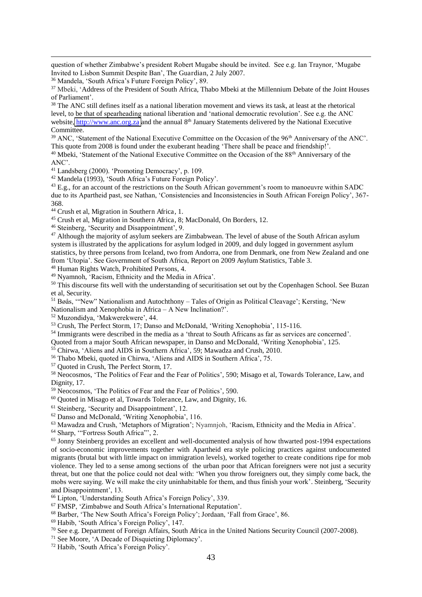question of whether Zimbabwe's president Robert Mugabe should be invited. See e.g. Ian Traynor, 'Mugabe Invited to Lisbon Summit Despite Ban', The Guardian, 2 July 2007.

<sup>36</sup> Mandela, 'South Africa's Future Foreign Policy', 89.

<sup>37</sup> Mbeki, 'Address of the President of South Africa, Thabo Mbeki at the Millennium Debate of the Joint Houses of Parliament'.

<sup>38</sup> The ANC still defines itself as a national liberation movement and views its task, at least at the rhetorical level, to be that of spearheading national liberation and 'national democratic revolution'. See e.g. the ANC website, [http://www.anc.org.za](http://www.anc.org.za/) and the annual 8<sup>th</sup> January Statements delivered by the National Executive **Committee** 

<sup>39</sup> ANC, 'Statement of the National Executive Committee on the Occasion of the 96<sup>th</sup> Anniversary of the ANC'. This quote from 2008 is found under the exuberant heading 'There shall be peace and friendship!'. <sup>40</sup> Mbeki, 'Statement of the National Executive Committee on the Occasion of the 88<sup>th</sup> Anniversary of the

ANC'.

-

<sup>41</sup> Landsberg (2000). 'Promoting Democracy', p. 109.

<sup>42</sup> Mandela (1993), 'South Africa's Future Foreign Policy'.

<sup>43</sup> E.g., for an account of the restrictions on the South African government's room to manoeuvre within SADC due to its Apartheid past, see Nathan, 'Consistencies and Inconsistencies in South African Foreign Policy', 367- 368.

<sup>44</sup> Crush et al, Migration in Southern Africa, 1.

<sup>45</sup> Crush et al, Migration in Southern Africa, 8; MacDonald, On Borders, 12.

<sup>46</sup> Steinberg, 'Security and Disappointment', 9.

<sup>47</sup> Although the majority of asylum seekers are Zimbabwean. The level of abuse of the South African asylum system is illustrated by the applications for asylum lodged in 2009, and duly logged in government asylum statistics, by three persons from Iceland, two from Andorra, one from Denmark, one from New Zealand and one from 'Utopia'. See Government of South Africa, Report on 2009 Asylum Statistics, Table 3.

<sup>48</sup> Human Rights Watch, Prohibited Persons, 4.

<sup>49</sup> Nyamnoh, 'Racism, Ethnicity and the Media in Africa'.

<sup>50</sup> This discourse fits well with the understanding of securitisation set out by the Copenhagen School. See Buzan et al, Security.

<sup>51</sup> Bøås, '"New" Nationalism and Autochthony – Tales of Origin as Political Cleavage'; Kersting, 'New

Nationalism and Xenophobia in Africa – A New Inclination?'.

<sup>52</sup> Muzondidya, 'Makwerekwere', 44.

<sup>53</sup> Crush, The Perfect Storm, 17; Danso and McDonald, 'Writing Xenophobia', 115-116.

<sup>54</sup> Immigrants were described in the media as a 'threat to South Africans as far as services are concerned'.

Quoted from a major South African newspaper, in Danso and McDonald, 'Writing Xenophobia', 125.

<sup>55</sup> Chirwa, 'Aliens and AIDS in Southern Africa', 59; Mawadza and Crush, 2010.

<sup>56</sup> Thabo Mbeki, quoted in Chirwa, 'Aliens and AIDS in Southern Africa', 75.

<sup>57</sup> Quoted in Crush, The Perfect Storm, 17.

<sup>58</sup> Neocosmos, 'The Politics of Fear and the Fear of Politics', 590; Misago et al, Towards Tolerance, Law, and Dignity, 17.

<sup>59</sup> Neocosmos, 'The Politics of Fear and the Fear of Politics', 590.

<sup>60</sup> Quoted in Misago et al, Towards Tolerance, Law, and Dignity, 16.

<sup>61</sup> Steinberg, 'Security and Disappointment', 12.

<sup>62</sup> Danso and McDonald, 'Writing Xenophobia', 116.

<sup>63</sup> Mawadza and Crush, 'Metaphors of Migration'; Nyamnjoh, 'Racism, Ethnicity and the Media in Africa'.

<sup>64</sup> Sharp, '"Fortress South Africa"', 2.

<sup>65</sup> Jonny Steinberg provides an excellent and well-documented analysis of how thwarted post-1994 expectations of socio-economic improvements together with Apartheid era style policing practices against undocumented migrants (brutal but with little impact on immigration levels), worked together to create conditions ripe for mob violence. They led to a sense among sections of the urban poor that African foreigners were not just a security threat, but one that the police could not deal with: 'When you throw foreigners out, they simply come back, the mobs were saying. We will make the city uninhabitable for them, and thus finish your work'. Steinberg, 'Security and Disappointment', 13.

<sup>66</sup> Lipton, 'Understanding South Africa's Foreign Policy', 339.

<sup>67</sup> FMSP, 'Zimbabwe and South Africa's International Reputation'.

<sup>68</sup> Barber, 'The New South Africa's Foreign Policy'; Jordaan, 'Fall from Grace', 86.

<sup>69</sup> Habib, 'South Africa's Foreign Policy', 147.

<sup>70</sup> See e.g. Department of Foreign Affairs, South Africa in the United Nations Security Council (2007-2008).

<sup>71</sup> See Moore, 'A Decade of Disquieting Diplomacy'.

<sup>72</sup> Habib, 'South Africa's Foreign Policy'.